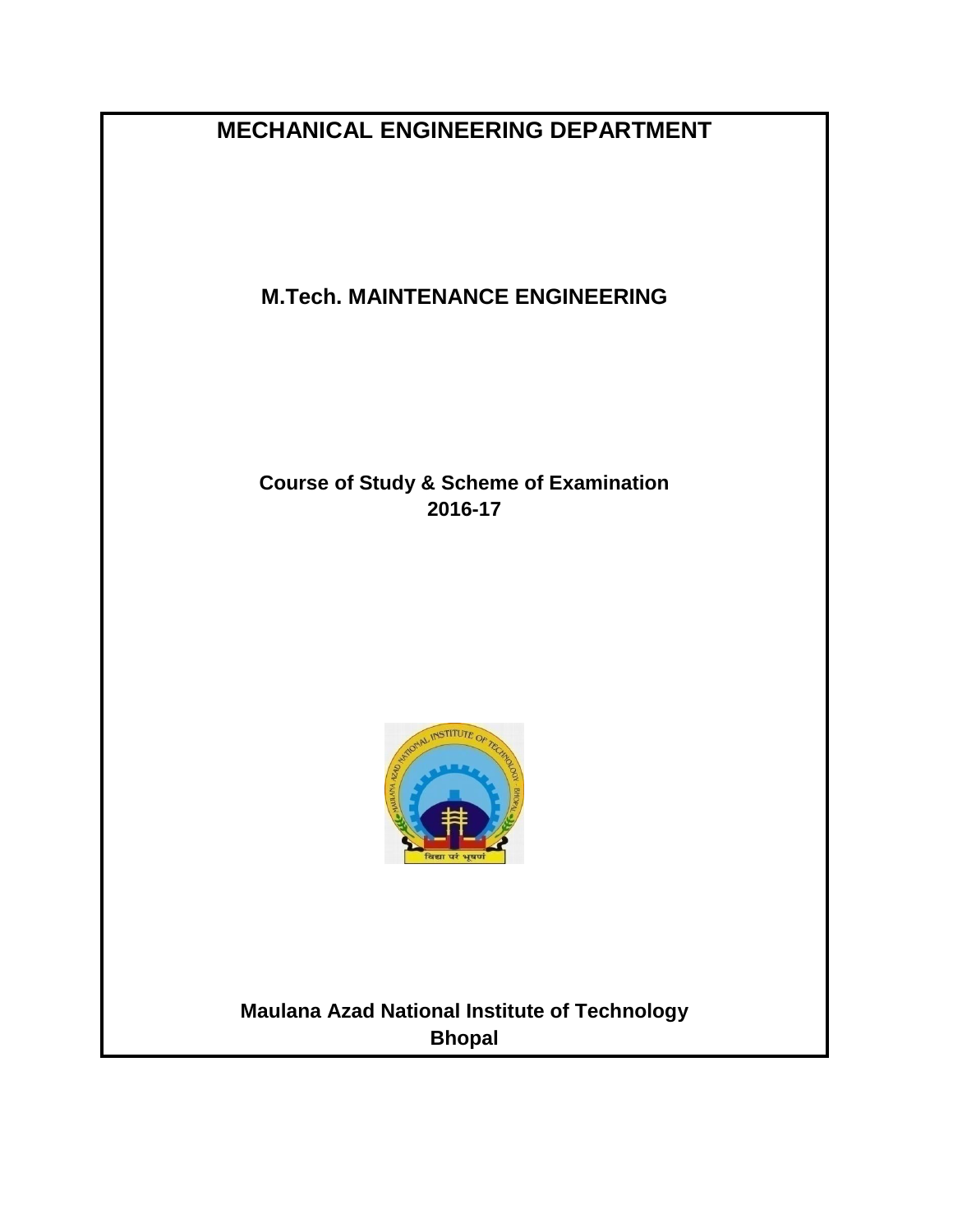**MECHANICAL ENGINEERING DEPARTMENT**

**M.Tech. MAINTENANCE ENGINEERING**

**Course of Study & Scheme of Examination 2016-17**



**Maulana Azad National Institute of Technology Bhopal**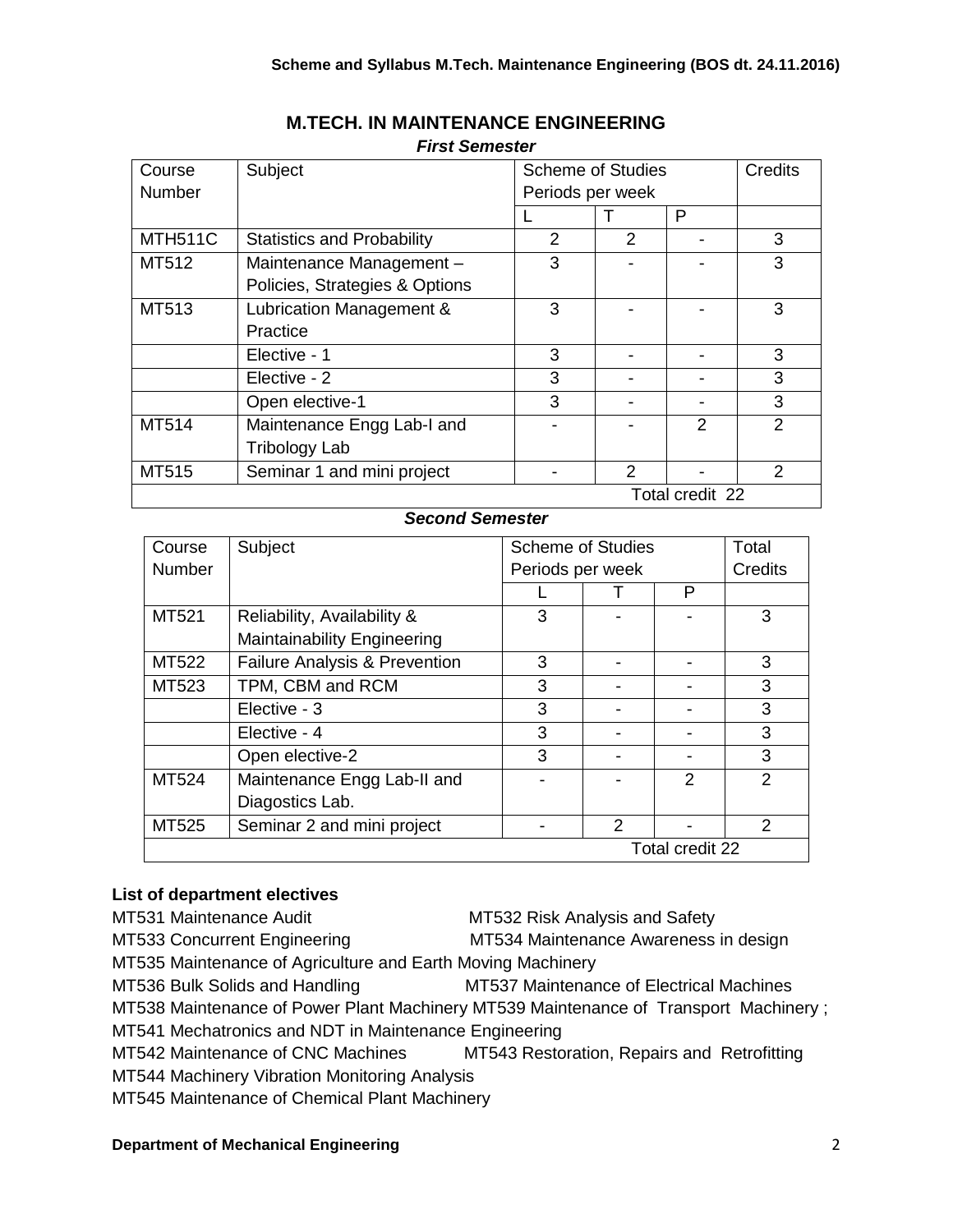| Course         | Subject                           | <b>Scheme of Studies</b> |   | Credits         |   |
|----------------|-----------------------------------|--------------------------|---|-----------------|---|
| Number         |                                   | Periods per week         |   |                 |   |
|                |                                   |                          |   | P               |   |
| <b>MTH511C</b> | <b>Statistics and Probability</b> | 2                        | 2 |                 | 3 |
| MT512          | Maintenance Management -          | 3                        |   |                 | 3 |
|                | Policies, Strategies & Options    |                          |   |                 |   |
| MT513          | Lubrication Management &          | 3                        |   |                 | 3 |
|                | Practice                          |                          |   |                 |   |
|                | Elective - 1                      | 3                        |   |                 | 3 |
|                | Elective - 2                      | 3                        |   |                 | 3 |
|                | Open elective-1                   | 3                        |   |                 | 3 |
| MT514          | Maintenance Engg Lab-I and        |                          |   | 2               | 2 |
|                | Tribology Lab                     |                          |   |                 |   |
| MT515          | Seminar 1 and mini project        |                          | 2 |                 | 2 |
|                |                                   |                          |   | Total credit 22 |   |

## **M.TECH. IN MAINTENANCE ENGINEERING** *First Semester*

# *Second Semester*

| Course          | Subject                                  | <b>Scheme of Studies</b> |               | Total          |               |
|-----------------|------------------------------------------|--------------------------|---------------|----------------|---------------|
| Number          |                                          | Periods per week         |               | Credits        |               |
|                 |                                          |                          |               | P              |               |
| MT521           | Reliability, Availability &              | 3                        |               |                | 3             |
|                 | <b>Maintainability Engineering</b>       |                          |               |                |               |
| MT522           | <b>Failure Analysis &amp; Prevention</b> | 3                        |               |                | 3             |
| MT523           | TPM, CBM and RCM                         | 3                        |               |                | 3             |
|                 | Elective - 3                             | 3                        |               |                | 3             |
|                 | Elective - 4                             | 3                        |               |                | 3             |
|                 | Open elective-2                          | 3                        |               |                | 3             |
| MT524           | Maintenance Engg Lab-II and              |                          |               | $\mathfrak{p}$ | 2             |
|                 | Diagostics Lab.                          |                          |               |                |               |
| MT525           | Seminar 2 and mini project               |                          | $\mathcal{P}$ |                | $\mathcal{P}$ |
| Total credit 22 |                                          |                          |               |                |               |

## **List of department electives**

MT531 Maintenance Audit MT532 Risk Analysis and Safety MT533 Concurrent Engineering MT534 Maintenance Awareness in design MT535 Maintenance of Agriculture and Earth Moving Machinery MT536 Bulk Solids and Handling MT537 Maintenance of Electrical Machines MT538 Maintenance of Power Plant Machinery MT539 Maintenance of Transport Machinery ; MT541 Mechatronics and NDT in Maintenance Engineering MT542 Maintenance of CNC Machines MT543 Restoration, Repairs and Retrofitting MT544 Machinery Vibration Monitoring Analysis MT545 Maintenance of Chemical Plant Machinery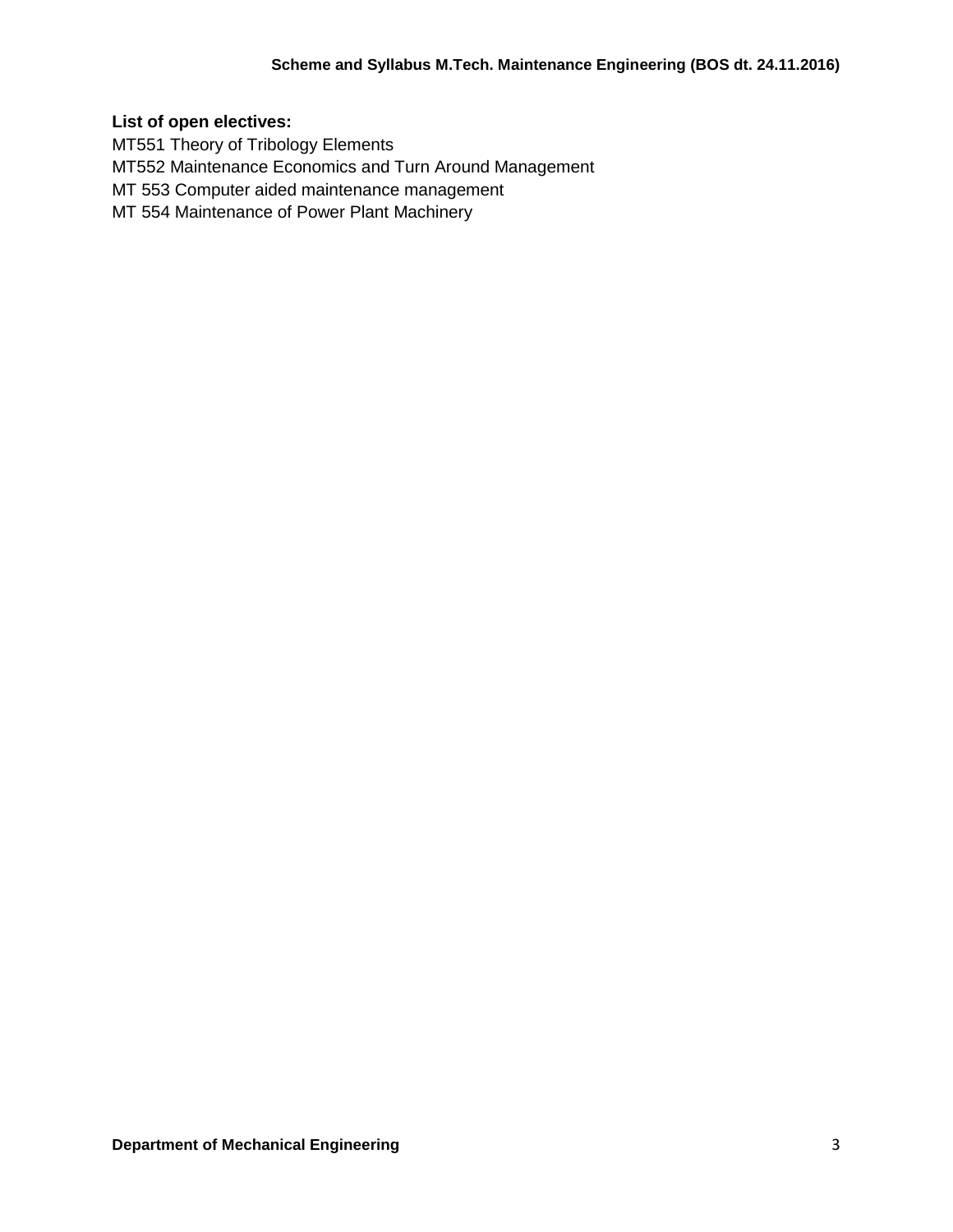# **List of open electives:**

MT551 Theory of Tribology Elements MT552 Maintenance Economics and Turn Around Management MT 553 Computer aided maintenance management MT 554 Maintenance of Power Plant Machinery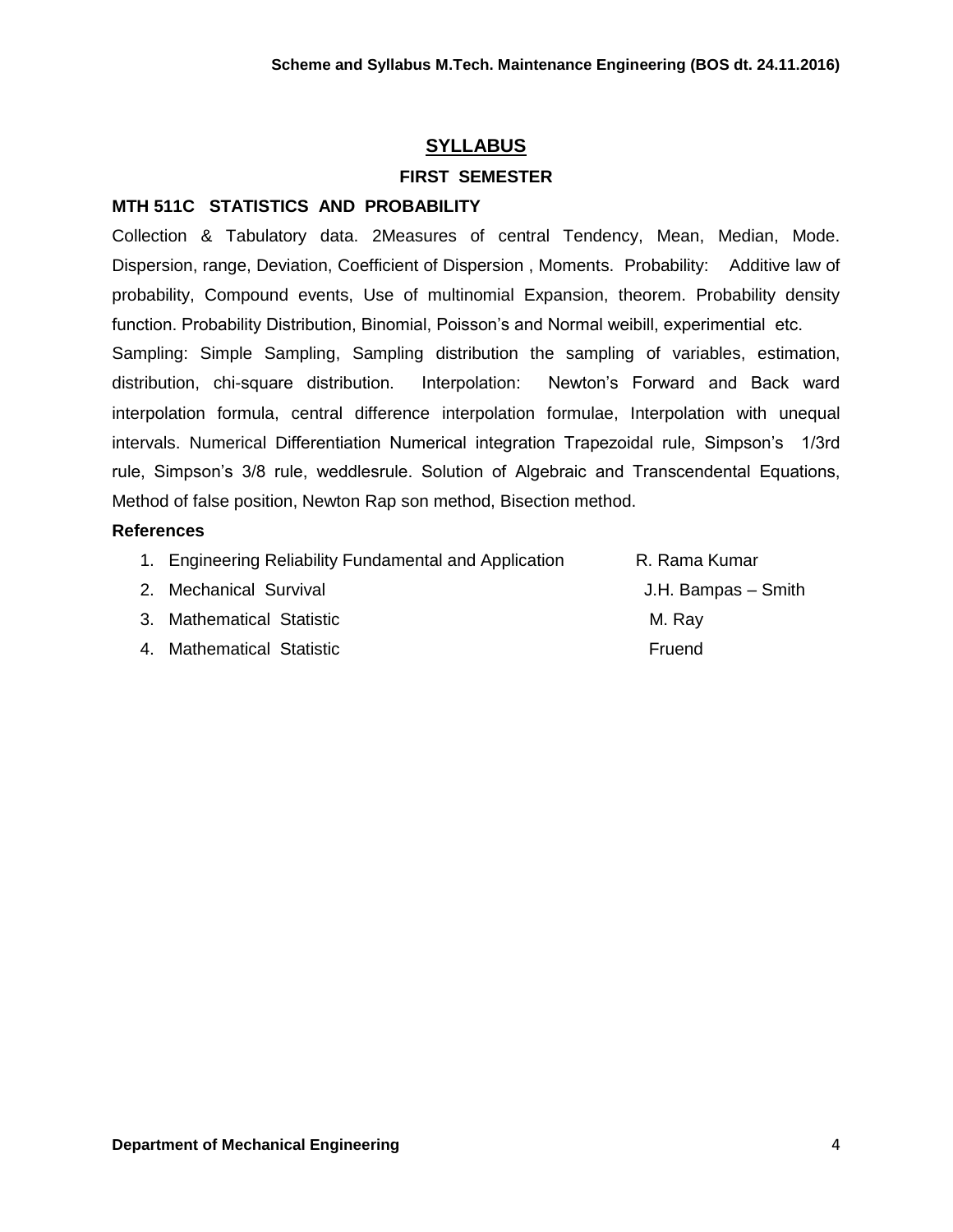# **SYLLABUS**

#### **FIRST SEMESTER**

#### **MTH 511C STATISTICS AND PROBABILITY**

Collection & Tabulatory data. 2Measures of central Tendency, Mean, Median, Mode. Dispersion, range, Deviation, Coefficient of Dispersion , Moments. Probability: Additive law of probability, Compound events, Use of multinomial Expansion, theorem. Probability density function. Probability Distribution, Binomial, Poisson's and Normal weibill, experimential etc. Sampling: Simple Sampling, Sampling distribution the sampling of variables, estimation, distribution, chi-square distribution. Interpolation: Newton's Forward and Back ward interpolation formula, central difference interpolation formulae, Interpolation with unequal intervals. Numerical Differentiation Numerical integration Trapezoidal rule, Simpson's 1/3rd rule, Simpson's 3/8 rule, weddlesrule. Solution of Algebraic and Transcendental Equations, Method of false position, Newton Rap son method, Bisection method.

#### **References**

- 1. Engineering Reliability Fundamental and Application **R. Rama Kumar**
- 2. Mechanical Survival **Contract Survival** Alexander Contract Contract Alexander Smith
- 3. Mathematical Statistic Million Controllery Million Million Million Million Million Million Million Million Million Million Million Million Million Million Million Million Million Million Million Million Million Million
- 4. Mathematical Statistic **Fruend**
-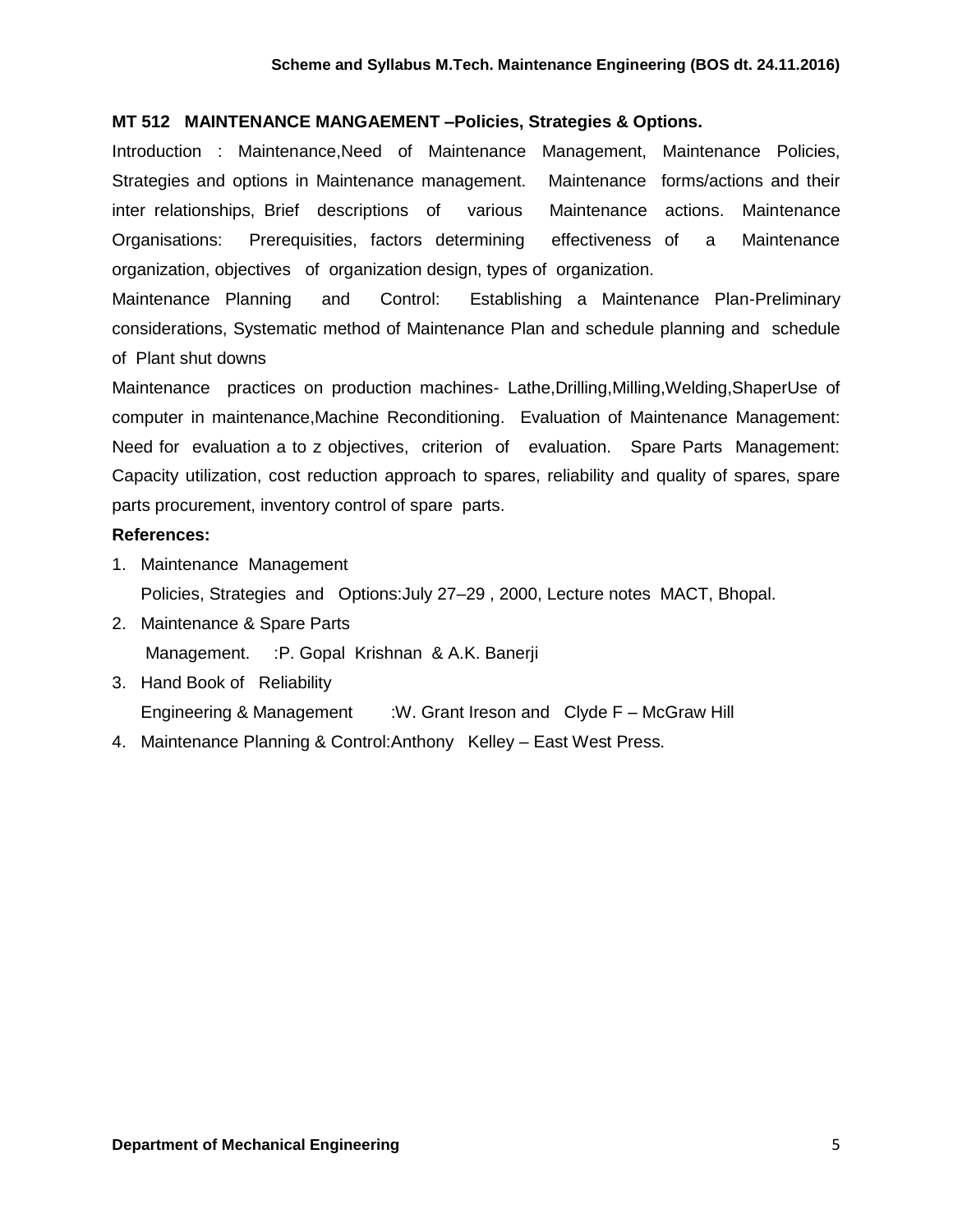#### **MT 512 MAINTENANCE MANGAEMENT –Policies, Strategies & Options.**

Introduction : Maintenance,Need of Maintenance Management, Maintenance Policies, Strategies and options in Maintenance management. Maintenance forms/actions and their inter relationships, Brief descriptions of various Maintenance actions. Maintenance Organisations: Prerequisities, factors determining effectiveness of a Maintenance organization, objectives of organization design, types of organization.

Maintenance Planning and Control: Establishing a Maintenance Plan-Preliminary considerations, Systematic method of Maintenance Plan and schedule planning and schedule of Plant shut downs

Maintenance practices on production machines- Lathe,Drilling,Milling,Welding,ShaperUse of computer in maintenance,Machine Reconditioning. Evaluation of Maintenance Management: Need for evaluation a to z objectives, criterion of evaluation. Spare Parts Management: Capacity utilization, cost reduction approach to spares, reliability and quality of spares, spare parts procurement, inventory control of spare parts.

#### **References:**

- 1. Maintenance Management Policies, Strategies and Options:July 27–29 , 2000, Lecture notes MACT, Bhopal.
- 2. Maintenance & Spare Parts Management. : P. Gopal Krishnan & A.K. Banerji
- 3. Hand Book of Reliability Engineering & Management :W. Grant Ireson and Clyde F – McGraw Hill
- 4. Maintenance Planning & Control:Anthony Kelley East West Press.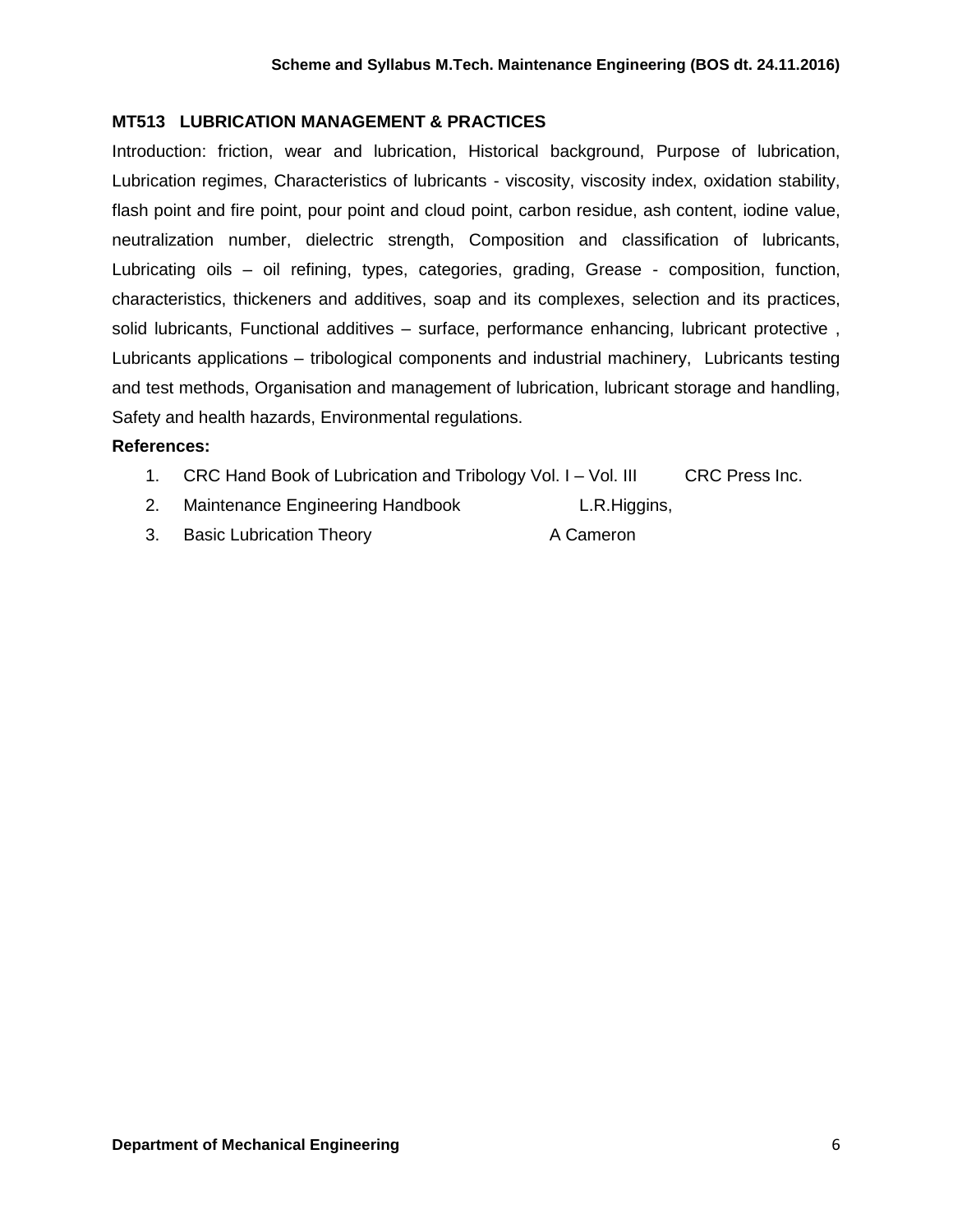# **MT513 LUBRICATION MANAGEMENT & PRACTICES**

Introduction: friction, wear and lubrication, Historical background, Purpose of lubrication, Lubrication regimes, Characteristics of lubricants - viscosity, viscosity index, oxidation stability, flash point and fire point, pour point and cloud point, carbon residue, ash content, iodine value, neutralization number, dielectric strength, Composition and classification of lubricants, Lubricating oils – oil refining, types, categories, grading, Grease - composition, function, characteristics, thickeners and additives, soap and its complexes, selection and its practices, solid lubricants, Functional additives – surface, performance enhancing, lubricant protective , Lubricants applications – tribological components and industrial machinery, Lubricants testing and test methods, Organisation and management of lubrication, lubricant storage and handling, Safety and health hazards, Environmental regulations.

#### **References:**

- 1. CRC Hand Book of Lubrication and Tribology Vol. I Vol. III CRC Press Inc.
- 2. Maintenance Engineering Handbook L.R.Higgins,
- 3. Basic Lubrication Theory **A Cameron**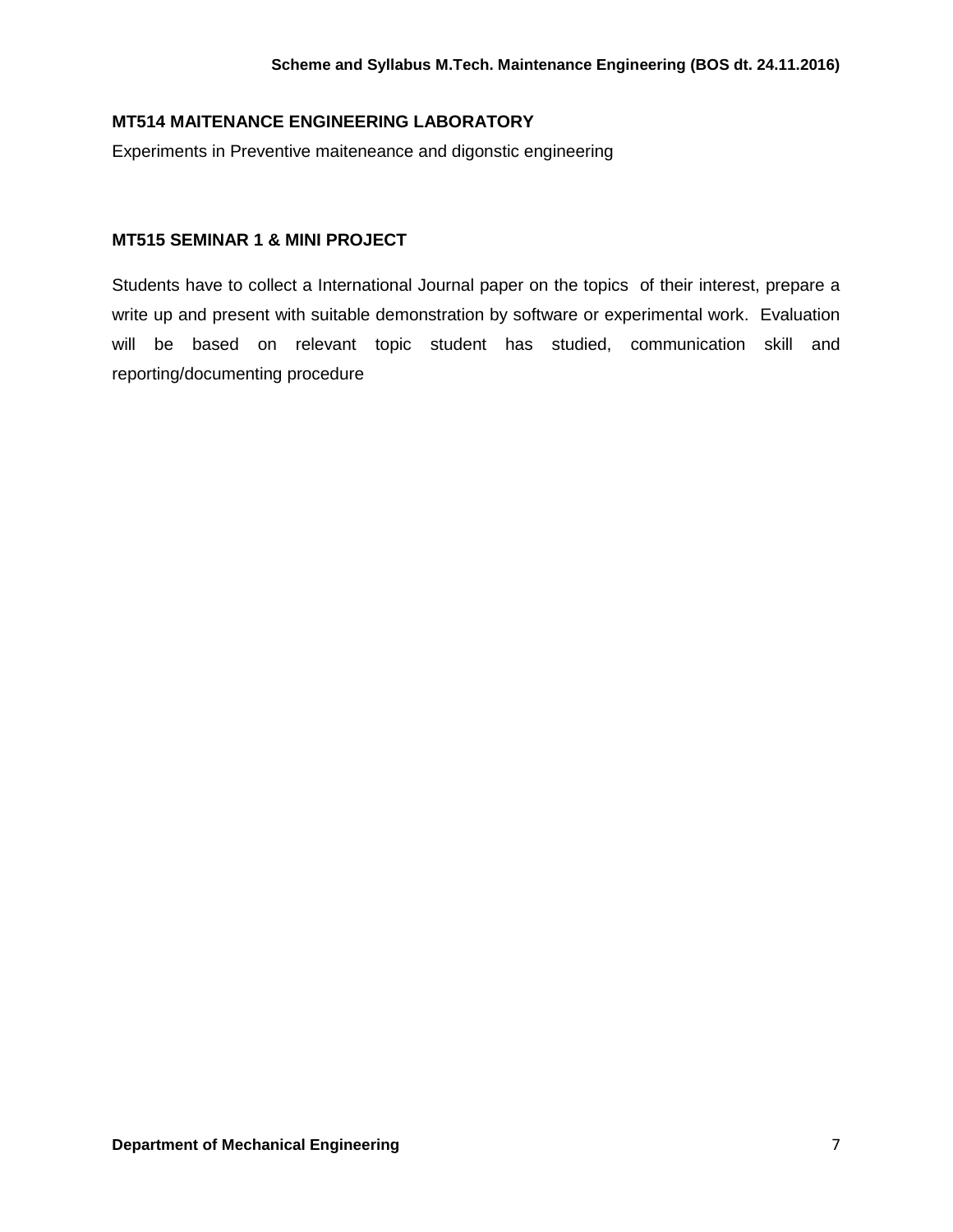## **MT514 MAITENANCE ENGINEERING LABORATORY**

Experiments in Preventive maiteneance and digonstic engineering

## **MT515 SEMINAR 1 & MINI PROJECT**

Students have to collect a International Journal paper on the topics of their interest, prepare a write up and present with suitable demonstration by software or experimental work. Evaluation will be based on relevant topic student has studied, communication skill and reporting/documenting procedure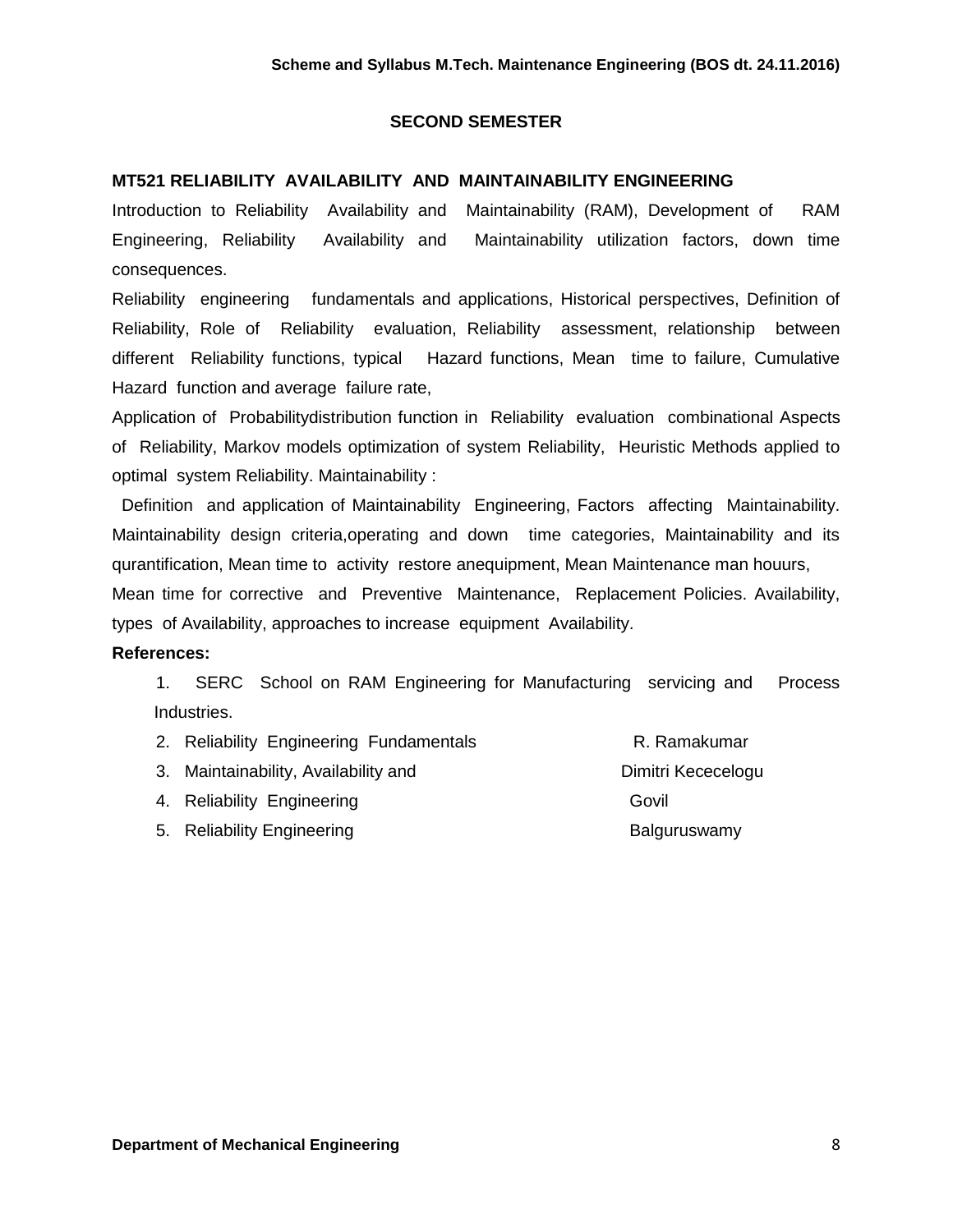#### **SECOND SEMESTER**

#### **MT521 RELIABILITY AVAILABILITY AND MAINTAINABILITY ENGINEERING**

Introduction to Reliability Availability and Maintainability (RAM), Development of RAM Engineering, Reliability Availability and Maintainability utilization factors, down time consequences.

Reliability engineering fundamentals and applications, Historical perspectives, Definition of Reliability, Role of Reliability evaluation, Reliability assessment, relationship between different Reliability functions, typical Hazard functions, Mean time to failure, Cumulative Hazard function and average failure rate,

Application of Probabilitydistribution function in Reliability evaluation combinational Aspects of Reliability, Markov models optimization of system Reliability, Heuristic Methods applied to optimal system Reliability. Maintainability :

 Definition and application of Maintainability Engineering, Factors affecting Maintainability. Maintainability design criteria,operating and down time categories, Maintainability and its qurantification, Mean time to activity restore anequipment, Mean Maintenance man houurs, Mean time for corrective and Preventive Maintenance, Replacement Policies. Availability,

types of Availability, approaches to increase equipment Availability.

#### **References:**

1. SERC School on RAM Engineering for Manufacturing servicing and Process Industries.

| 2. Reliability Engineering Fundamentals | R. Ramakumar       |
|-----------------------------------------|--------------------|
| 3. Maintainability, Availability and    | Dimitri Kececelogu |
| 4. Reliability Engineering              | Govil              |
| 5. Reliability Engineering              | Balguruswamy       |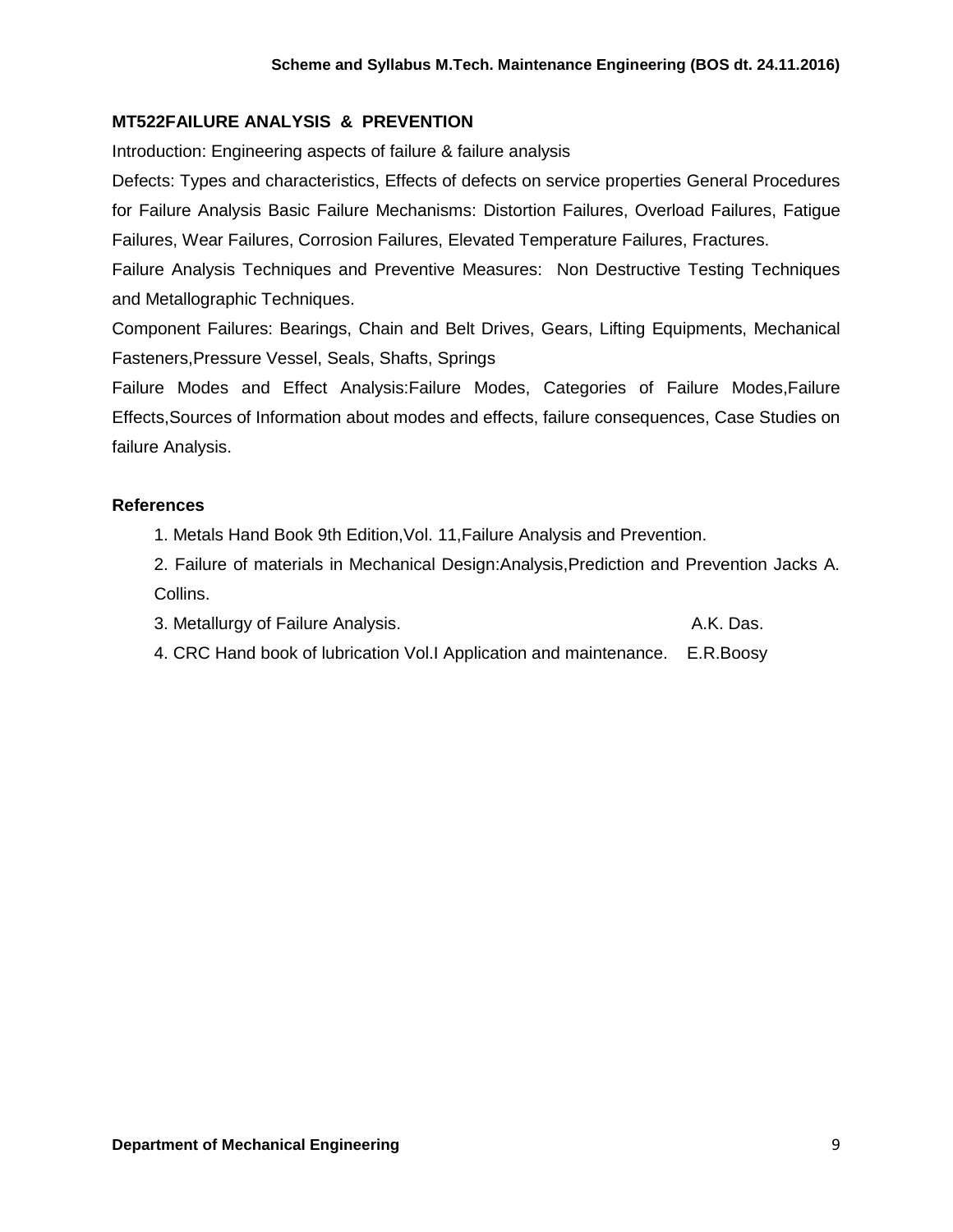## **MT522FAILURE ANALYSIS & PREVENTION**

Introduction: Engineering aspects of failure & failure analysis

Defects: Types and characteristics, Effects of defects on service properties General Procedures for Failure Analysis Basic Failure Mechanisms: Distortion Failures, Overload Failures, Fatigue Failures, Wear Failures, Corrosion Failures, Elevated Temperature Failures, Fractures.

Failure Analysis Techniques and Preventive Measures: Non Destructive Testing Techniques and Metallographic Techniques.

Component Failures: Bearings, Chain and Belt Drives, Gears, Lifting Equipments, Mechanical Fasteners,Pressure Vessel, Seals, Shafts, Springs

Failure Modes and Effect Analysis:Failure Modes, Categories of Failure Modes,Failure Effects,Sources of Information about modes and effects, failure consequences, Case Studies on failure Analysis.

## **References**

1. Metals Hand Book 9th Edition,Vol. 11,Failure Analysis and Prevention.

2. Failure of materials in Mechanical Design:Analysis,Prediction and Prevention Jacks A. Collins.

- 3. Metallurgy of Failure Analysis. The contract of the A.K. Das.
- 4. CRC Hand book of lubrication Vol.I Application and maintenance. E.R.Boosy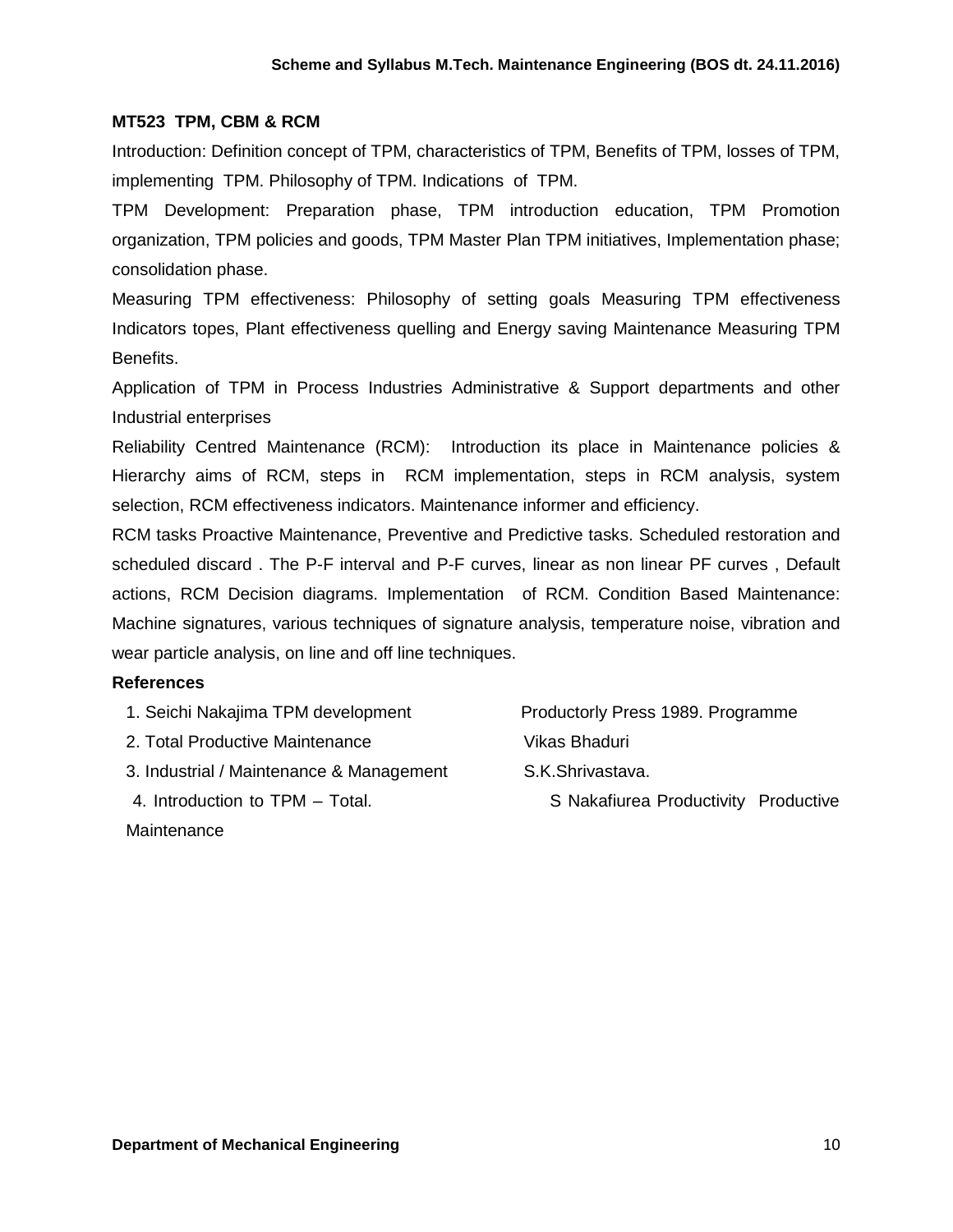#### **MT523 TPM, CBM & RCM**

Introduction: Definition concept of TPM, characteristics of TPM, Benefits of TPM, losses of TPM, implementing TPM. Philosophy of TPM. Indications of TPM.

TPM Development: Preparation phase, TPM introduction education, TPM Promotion organization, TPM policies and goods, TPM Master Plan TPM initiatives, Implementation phase; consolidation phase.

Measuring TPM effectiveness: Philosophy of setting goals Measuring TPM effectiveness Indicators topes, Plant effectiveness quelling and Energy saving Maintenance Measuring TPM Benefits.

Application of TPM in Process Industries Administrative & Support departments and other Industrial enterprises

Reliability Centred Maintenance (RCM): Introduction its place in Maintenance policies & Hierarchy aims of RCM, steps in RCM implementation, steps in RCM analysis, system selection, RCM effectiveness indicators. Maintenance informer and efficiency.

RCM tasks Proactive Maintenance, Preventive and Predictive tasks. Scheduled restoration and scheduled discard . The P-F interval and P-F curves, linear as non linear PF curves , Default actions, RCM Decision diagrams. Implementation of RCM. Condition Based Maintenance: Machine signatures, various techniques of signature analysis, temperature noise, vibration and wear particle analysis, on line and off line techniques.

#### **References**

- 1. Seichi Nakajima TPM development Productorly Press 1989. Programme
- 2. Total Productive Maintenance Vikas Bhaduri
- 3. Industrial / Maintenance & Management S.K.Shrivastava.
- 4. Introduction to TPM Total. S Nakafiurea Productivity Productive
- 

**Maintenance**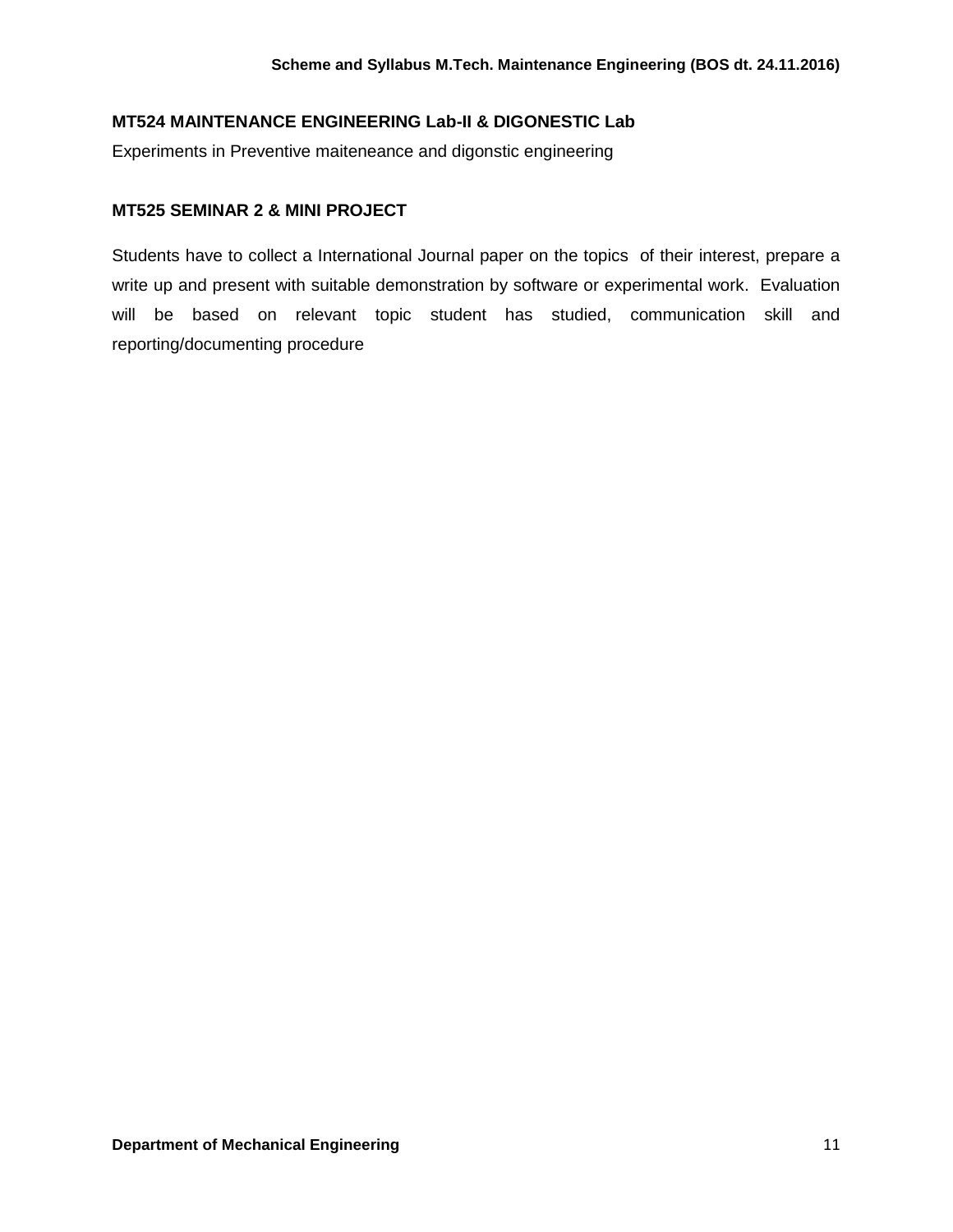## **MT524 MAINTENANCE ENGINEERING Lab-II & DIGONESTIC Lab**

Experiments in Preventive maiteneance and digonstic engineering

## **MT525 SEMINAR 2 & MINI PROJECT**

Students have to collect a International Journal paper on the topics of their interest, prepare a write up and present with suitable demonstration by software or experimental work. Evaluation will be based on relevant topic student has studied, communication skill and reporting/documenting procedure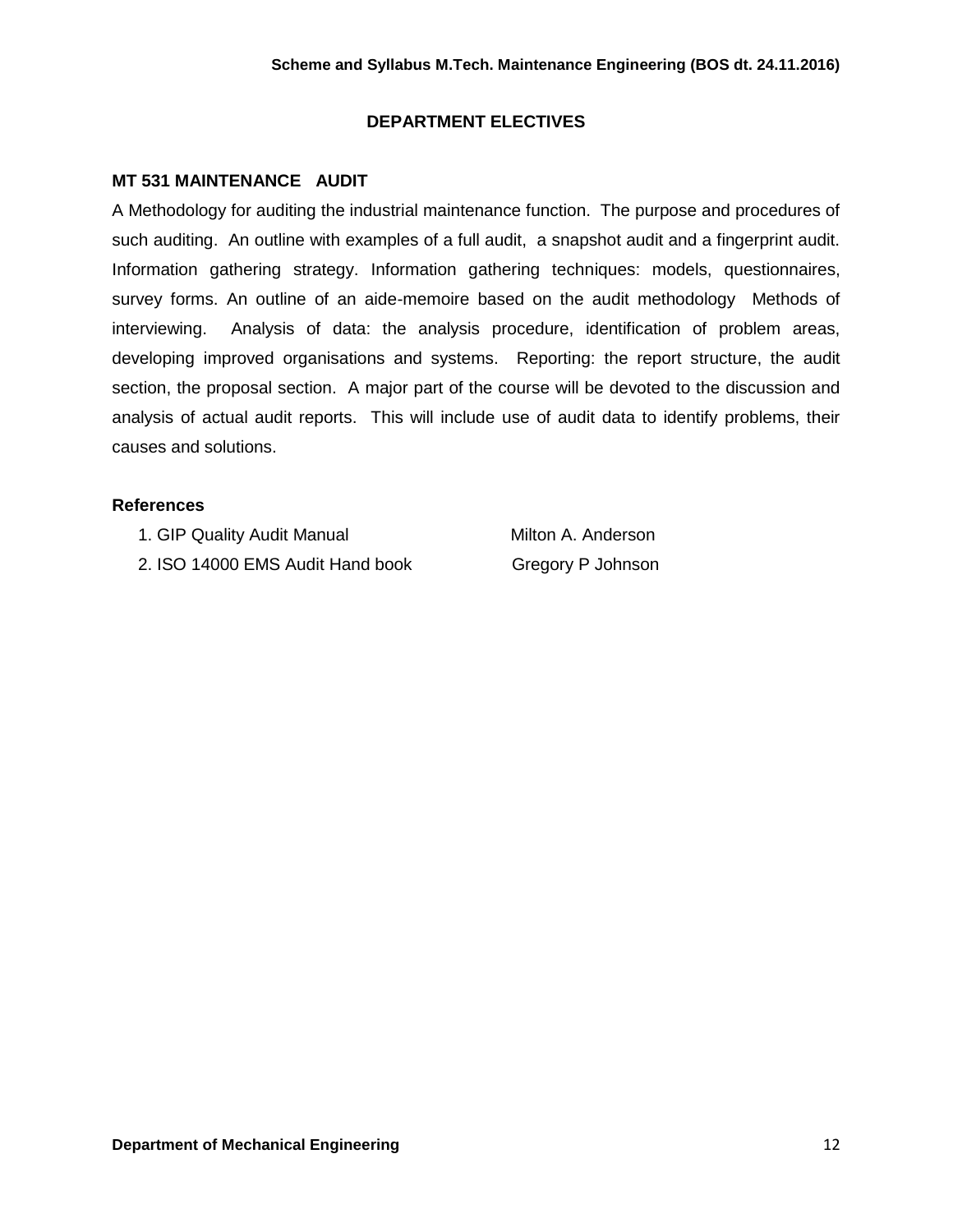## **DEPARTMENT ELECTIVES**

## **MT 531 MAINTENANCE AUDIT**

A Methodology for auditing the industrial maintenance function. The purpose and procedures of such auditing. An outline with examples of a full audit, a snapshot audit and a fingerprint audit. Information gathering strategy. Information gathering techniques: models, questionnaires, survey forms. An outline of an aide-memoire based on the audit methodology Methods of interviewing. Analysis of data: the analysis procedure, identification of problem areas, developing improved organisations and systems. Reporting: the report structure, the audit section, the proposal section. A major part of the course will be devoted to the discussion and analysis of actual audit reports. This will include use of audit data to identify problems, their causes and solutions.

## **References**

1. GIP Quality Audit Manual Milton A. Anderson

2. ISO 14000 EMS Audit Hand book Gregory P Johnson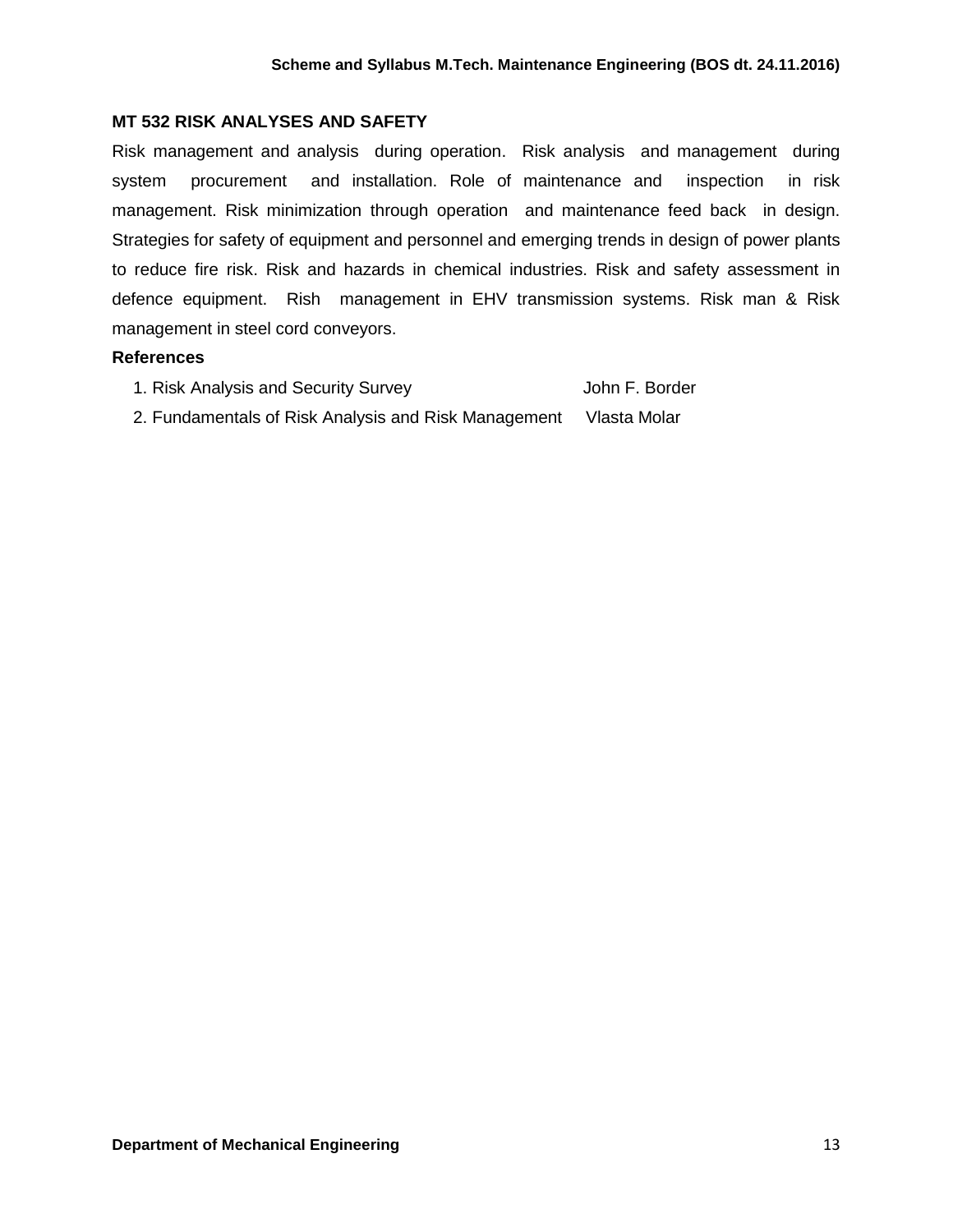## **MT 532 RISK ANALYSES AND SAFETY**

Risk management and analysis during operation. Risk analysis and management during system procurement and installation. Role of maintenance and inspection in risk management. Risk minimization through operation and maintenance feed back in design. Strategies for safety of equipment and personnel and emerging trends in design of power plants to reduce fire risk. Risk and hazards in chemical industries. Risk and safety assessment in defence equipment. Rish management in EHV transmission systems. Risk man & Risk management in steel cord conveyors.

#### **References**

| 1. Risk Analysis and Security Survey                 | John F. Border |
|------------------------------------------------------|----------------|
| 2. Fundamentals of Risk Analysis and Risk Management | Vlasta Molar   |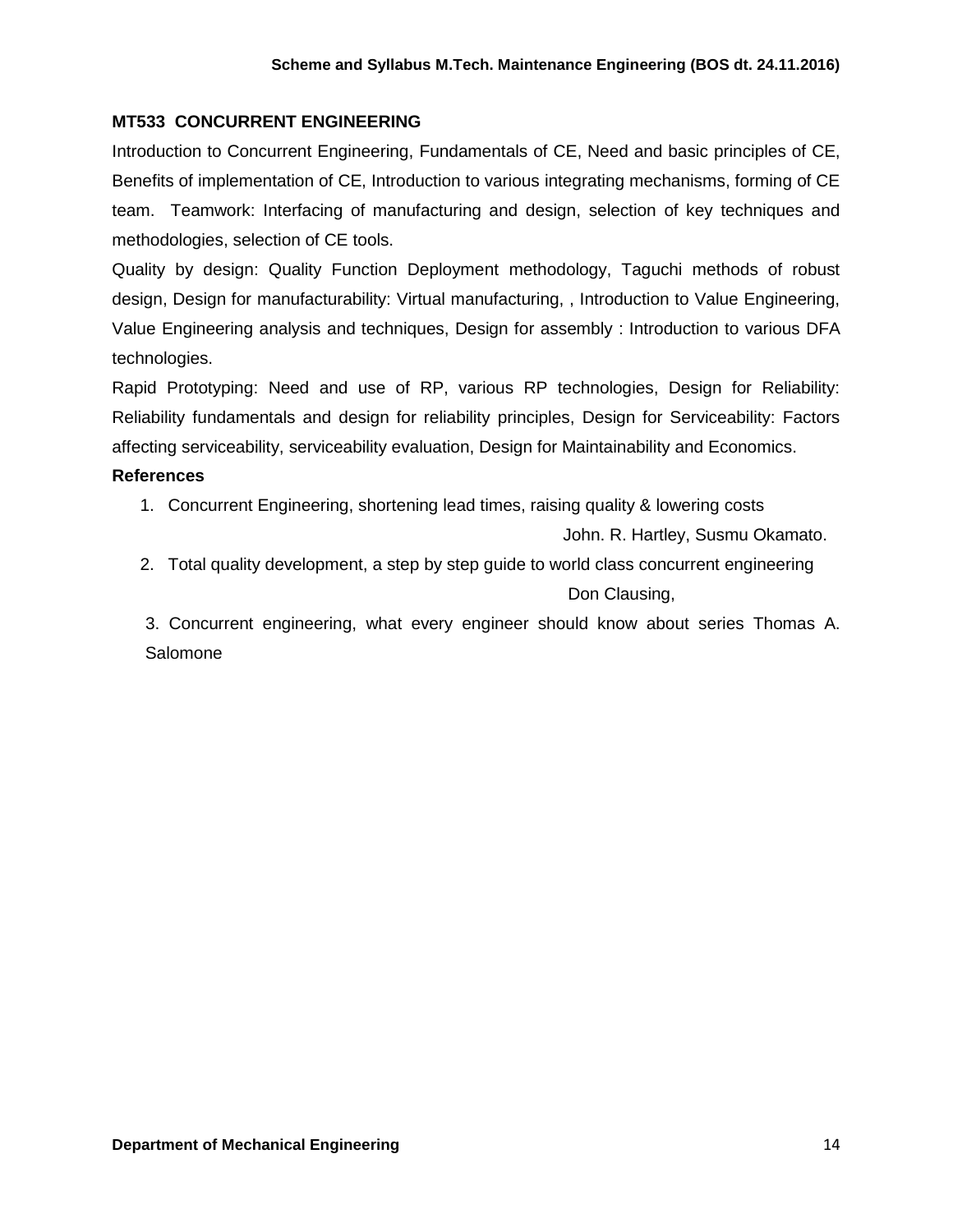## **MT533 CONCURRENT ENGINEERING**

Introduction to Concurrent Engineering, Fundamentals of CE, Need and basic principles of CE, Benefits of implementation of CE, Introduction to various integrating mechanisms, forming of CE team. Teamwork: Interfacing of manufacturing and design, selection of key techniques and methodologies, selection of CE tools.

Quality by design: Quality Function Deployment methodology, Taguchi methods of robust design, Design for manufacturability: Virtual manufacturing, , Introduction to Value Engineering, Value Engineering analysis and techniques, Design for assembly : Introduction to various DFA technologies.

Rapid Prototyping: Need and use of RP, various RP technologies, Design for Reliability: Reliability fundamentals and design for reliability principles, Design for Serviceability: Factors affecting serviceability, serviceability evaluation, Design for Maintainability and Economics.

#### **References**

1. Concurrent Engineering, shortening lead times, raising quality & lowering costs

John. R. Hartley, Susmu Okamato.

2. Total quality development, a step by step guide to world class concurrent engineering Don Clausing,

 3. Concurrent engineering, what every engineer should know about series Thomas A. **Salomone**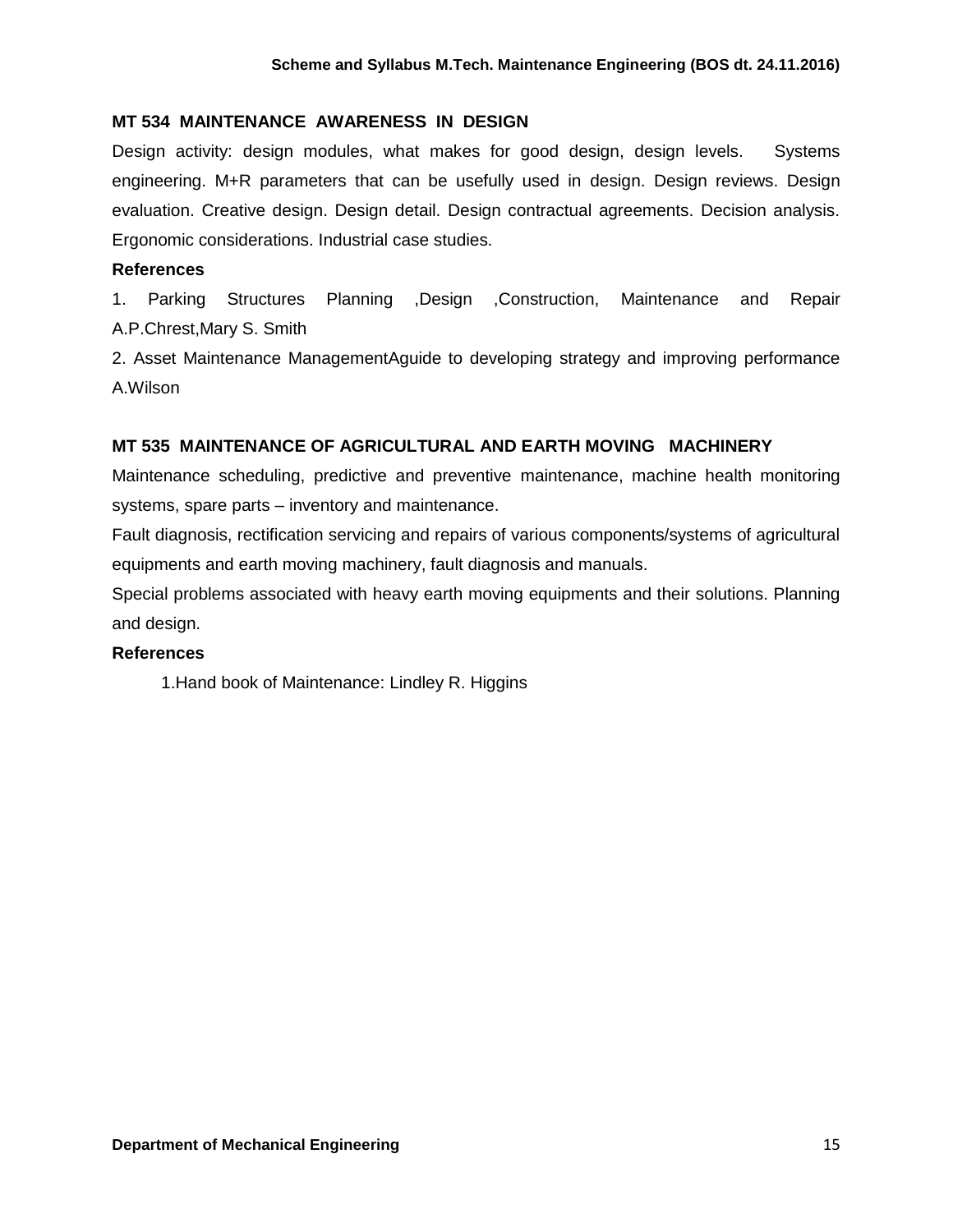## **MT 534 MAINTENANCE AWARENESS IN DESIGN**

Design activity: design modules, what makes for good design, design levels. Systems engineering. M+R parameters that can be usefully used in design. Design reviews. Design evaluation. Creative design. Design detail. Design contractual agreements. Decision analysis. Ergonomic considerations. Industrial case studies.

#### **References**

1. Parking Structures Planning ,Design ,Construction, Maintenance and Repair A.P.Chrest,Mary S. Smith

2. Asset Maintenance ManagementAguide to developing strategy and improving performance A.Wilson

## **MT 535 MAINTENANCE OF AGRICULTURAL AND EARTH MOVING MACHINERY**

Maintenance scheduling, predictive and preventive maintenance, machine health monitoring systems, spare parts – inventory and maintenance.

Fault diagnosis, rectification servicing and repairs of various components/systems of agricultural equipments and earth moving machinery, fault diagnosis and manuals.

Special problems associated with heavy earth moving equipments and their solutions. Planning and design.

#### **References**

1.Hand book of Maintenance: Lindley R. Higgins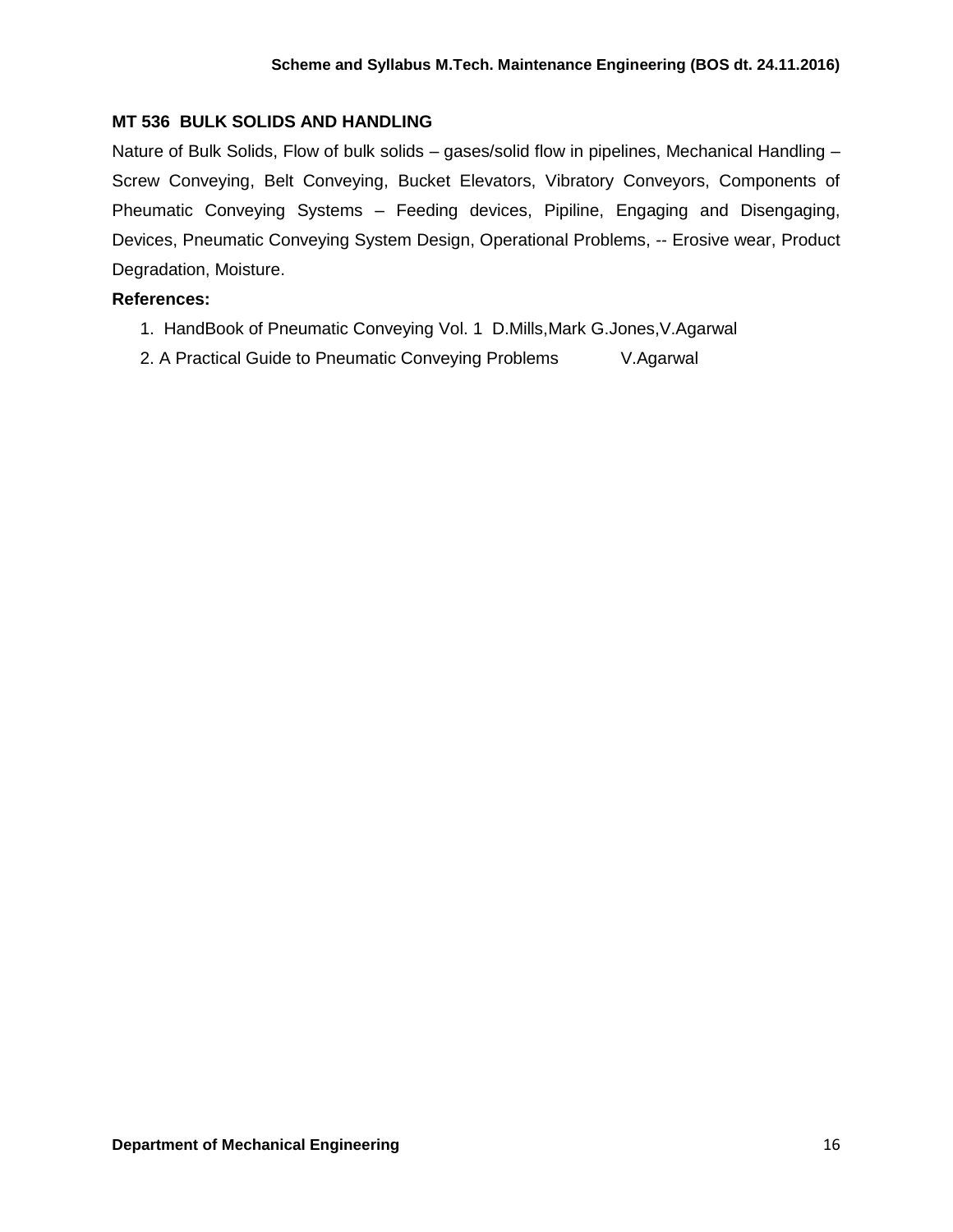## **MT 536 BULK SOLIDS AND HANDLING**

Nature of Bulk Solids, Flow of bulk solids – gases/solid flow in pipelines, Mechanical Handling – Screw Conveying, Belt Conveying, Bucket Elevators, Vibratory Conveyors, Components of Pheumatic Conveying Systems – Feeding devices, Pipiline, Engaging and Disengaging, Devices, Pneumatic Conveying System Design, Operational Problems, -- Erosive wear, Product Degradation, Moisture.

## **References:**

- 1. HandBook of Pneumatic Conveying Vol. 1 D.Mills,Mark G.Jones,V.Agarwal
- 2. A Practical Guide to Pneumatic Conveying Problems V.Agarwal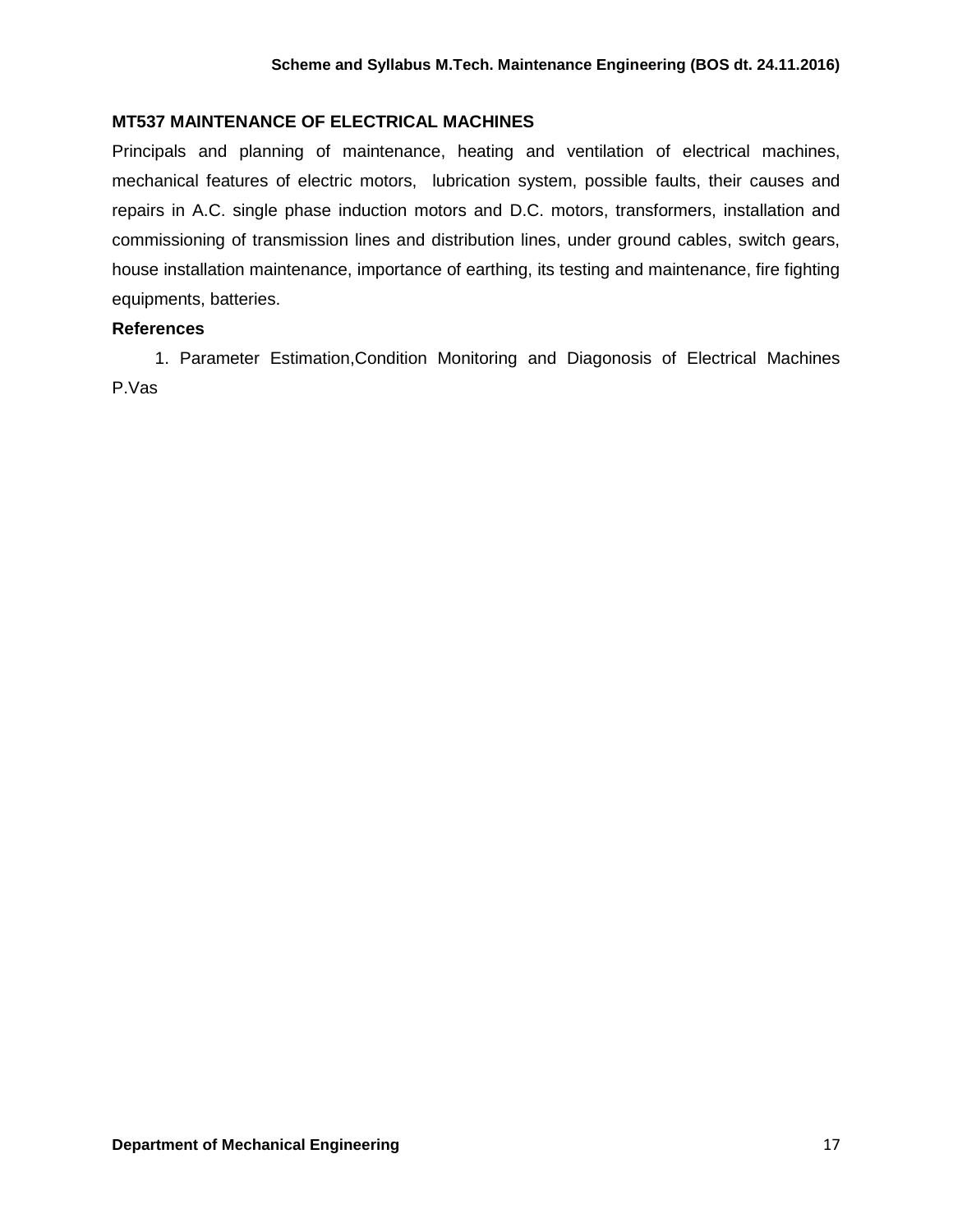## **MT537 MAINTENANCE OF ELECTRICAL MACHINES**

Principals and planning of maintenance, heating and ventilation of electrical machines, mechanical features of electric motors, lubrication system, possible faults, their causes and repairs in A.C. single phase induction motors and D.C. motors, transformers, installation and commissioning of transmission lines and distribution lines, under ground cables, switch gears, house installation maintenance, importance of earthing, its testing and maintenance, fire fighting equipments, batteries.

#### **References**

 1. Parameter Estimation,Condition Monitoring and Diagonosis of Electrical Machines P.Vas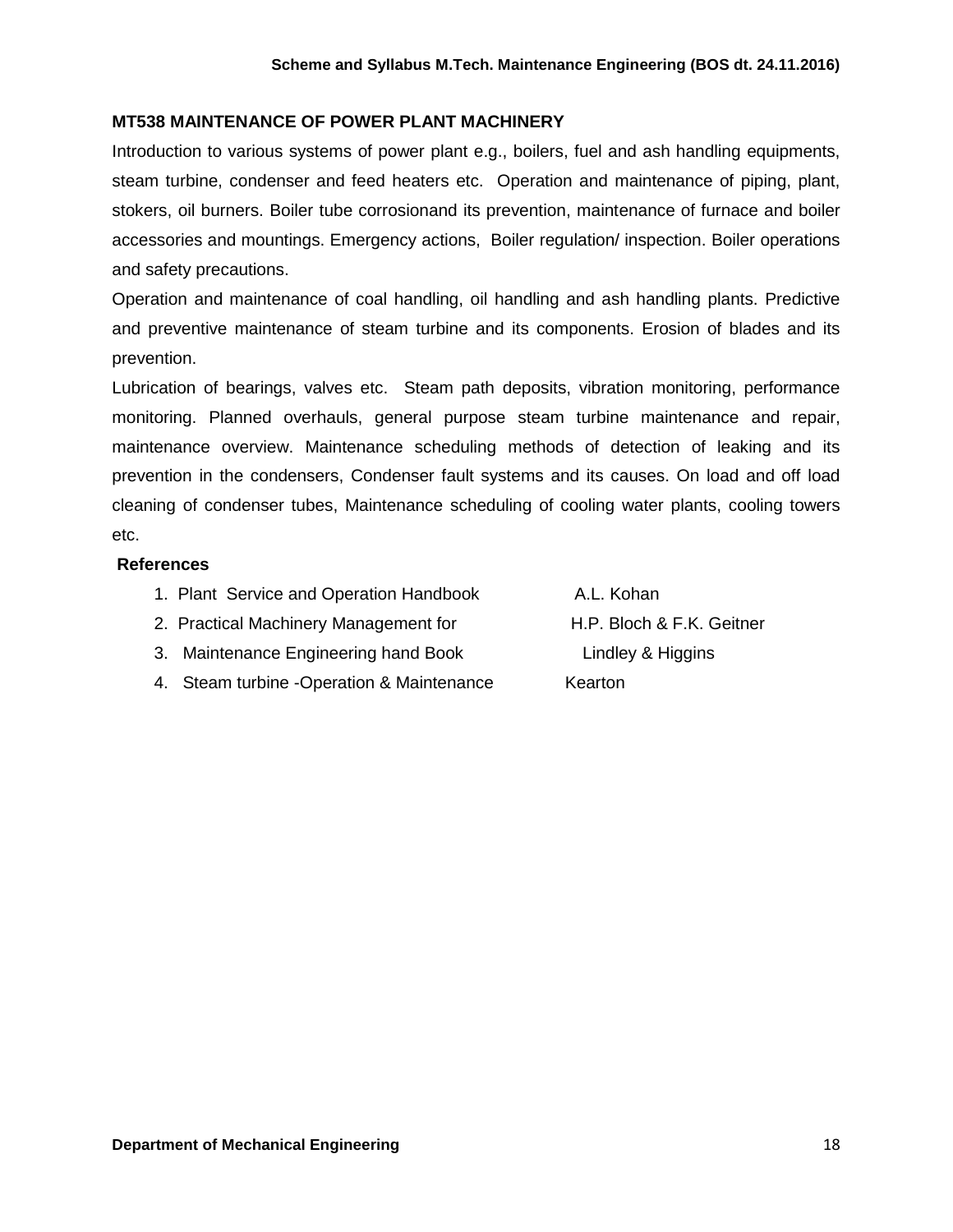## **MT538 MAINTENANCE OF POWER PLANT MACHINERY**

Introduction to various systems of power plant e.g., boilers, fuel and ash handling equipments, steam turbine, condenser and feed heaters etc. Operation and maintenance of piping, plant, stokers, oil burners. Boiler tube corrosionand its prevention, maintenance of furnace and boiler accessories and mountings. Emergency actions, Boiler regulation/ inspection. Boiler operations and safety precautions.

Operation and maintenance of coal handling, oil handling and ash handling plants. Predictive and preventive maintenance of steam turbine and its components. Erosion of blades and its prevention.

Lubrication of bearings, valves etc. Steam path deposits, vibration monitoring, performance monitoring. Planned overhauls, general purpose steam turbine maintenance and repair, maintenance overview. Maintenance scheduling methods of detection of leaking and its prevention in the condensers, Condenser fault systems and its causes. On load and off load cleaning of condenser tubes, Maintenance scheduling of cooling water plants, cooling towers etc.

#### **References**

- 1. Plant Service and Operation Handbook A.L. Kohan
- 2. Practical Machinery Management for **H.P. Bloch & F.K. Geitner**
- 3. Maintenance Engineering hand Book Lindley & Higgins
- 4. Steam turbine -Operation & Maintenance Kearton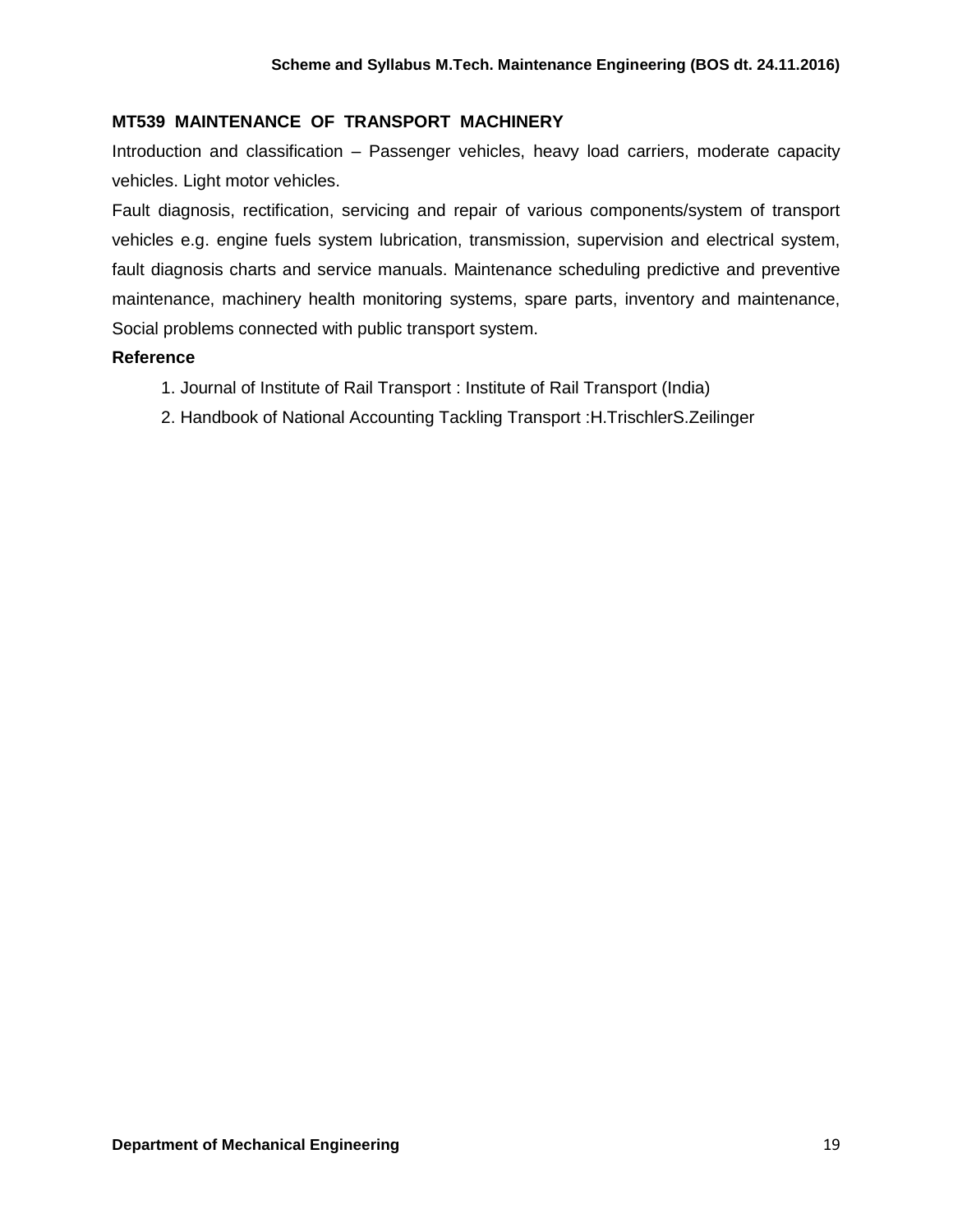## **MT539 MAINTENANCE OF TRANSPORT MACHINERY**

Introduction and classification – Passenger vehicles, heavy load carriers, moderate capacity vehicles. Light motor vehicles.

Fault diagnosis, rectification, servicing and repair of various components/system of transport vehicles e.g. engine fuels system lubrication, transmission, supervision and electrical system, fault diagnosis charts and service manuals. Maintenance scheduling predictive and preventive maintenance, machinery health monitoring systems, spare parts, inventory and maintenance, Social problems connected with public transport system.

#### **Reference**

- 1. Journal of Institute of Rail Transport : Institute of Rail Transport (India)
- 2. Handbook of National Accounting Tackling Transport :H.TrischlerS.Zeilinger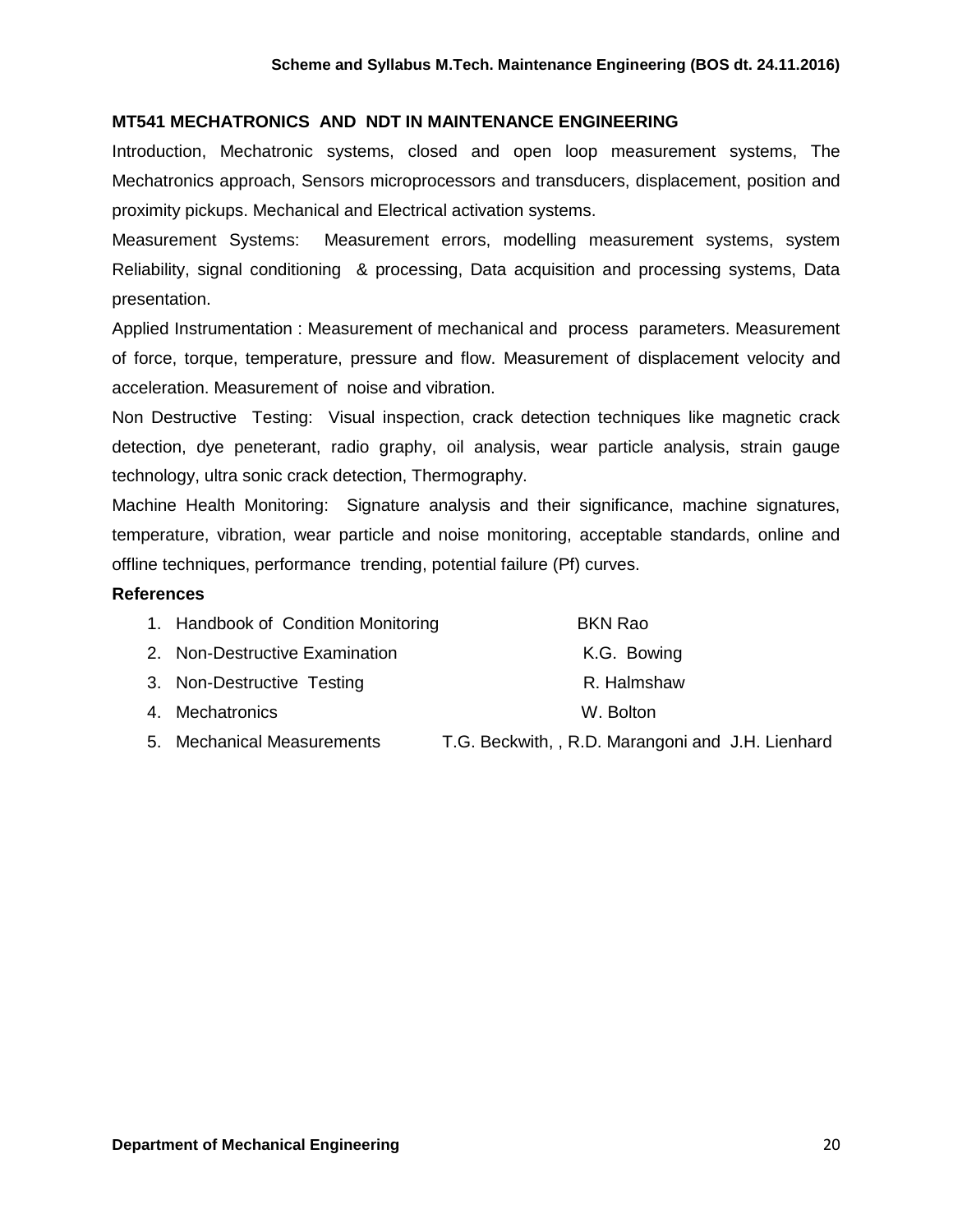#### **MT541 MECHATRONICS AND NDT IN MAINTENANCE ENGINEERING**

Introduction, Mechatronic systems, closed and open loop measurement systems, The Mechatronics approach, Sensors microprocessors and transducers, displacement, position and proximity pickups. Mechanical and Electrical activation systems.

Measurement Systems: Measurement errors, modelling measurement systems, system Reliability, signal conditioning & processing, Data acquisition and processing systems, Data presentation.

Applied Instrumentation : Measurement of mechanical and process parameters. Measurement of force, torque, temperature, pressure and flow. Measurement of displacement velocity and acceleration. Measurement of noise and vibration.

Non Destructive Testing: Visual inspection, crack detection techniques like magnetic crack detection, dye peneterant, radio graphy, oil analysis, wear particle analysis, strain gauge technology, ultra sonic crack detection, Thermography.

Machine Health Monitoring: Signature analysis and their significance, machine signatures, temperature, vibration, wear particle and noise monitoring, acceptable standards, online and offline techniques, performance trending, potential failure (Pf) curves.

#### **References**

| 1. Handbook of Condition Monitoring | <b>BKN Rao</b>          |
|-------------------------------------|-------------------------|
| 2. Non-Destructive Examination      | K.G. Bowing             |
| 3. Non-Destructive Testing          | R. Halmshaw             |
| 4. Mechatronics                     | W. Bolton               |
| 5 Mechanical Measurements           | TG Reckwith RD Marangon |

5. Mechanical Measurements T.G. Beckwith, , R.D. Marangoni and J.H. Lienhard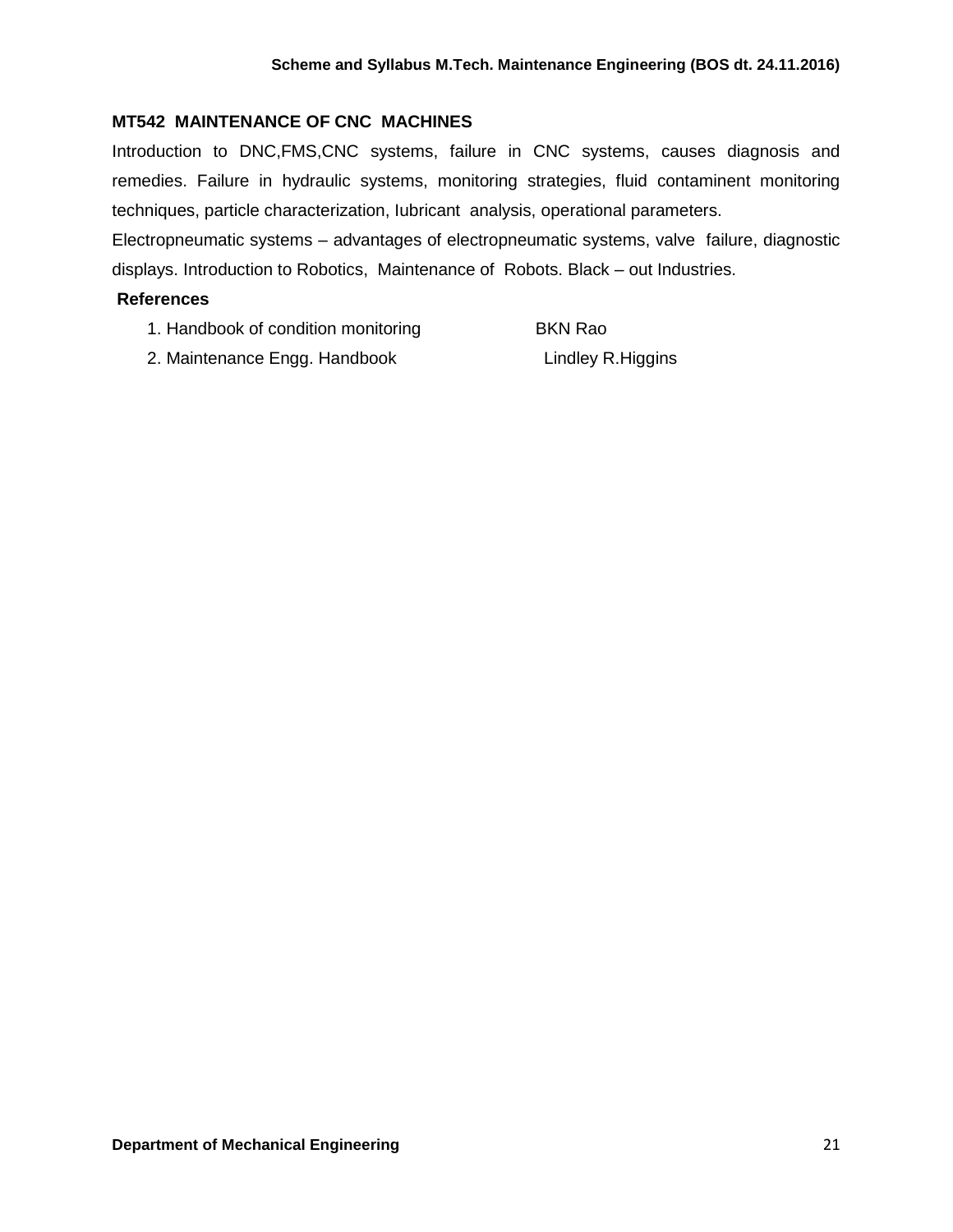# **MT542 MAINTENANCE OF CNC MACHINES**

Introduction to DNC,FMS,CNC systems, failure in CNC systems, causes diagnosis and remedies. Failure in hydraulic systems, monitoring strategies, fluid contaminent monitoring techniques, particle characterization, Iubricant analysis, operational parameters.

Electropneumatic systems – advantages of electropneumatic systems, valve failure, diagnostic displays. Introduction to Robotics, Maintenance of Robots. Black – out Industries.

## **References**

- 1. Handbook of condition monitoring BKN Rao
	-
- 2. Maintenance Engg. Handbook Lindley R.Higgins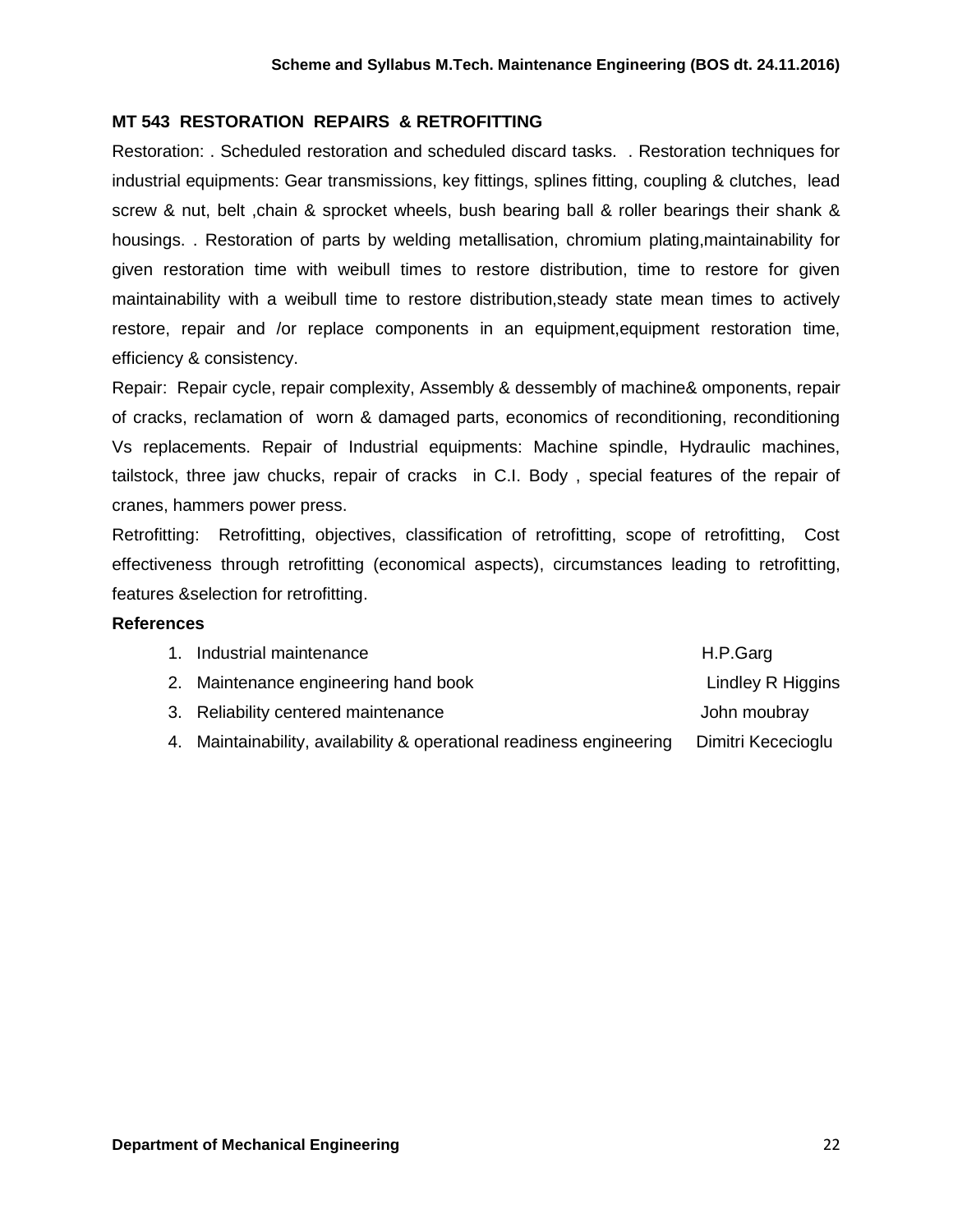## **MT 543 RESTORATION REPAIRS & RETROFITTING**

Restoration: . Scheduled restoration and scheduled discard tasks. . Restoration techniques for industrial equipments: Gear transmissions, key fittings, splines fitting, coupling & clutches, lead screw & nut, belt , chain & sprocket wheels, bush bearing ball & roller bearings their shank & housings. . Restoration of parts by welding metallisation, chromium plating,maintainability for given restoration time with weibull times to restore distribution, time to restore for given maintainability with a weibull time to restore distribution,steady state mean times to actively restore, repair and /or replace components in an equipment,equipment restoration time, efficiency & consistency.

Repair: Repair cycle, repair complexity, Assembly & dessembly of machine& omponents, repair of cracks, reclamation of worn & damaged parts, economics of reconditioning, reconditioning Vs replacements. Repair of Industrial equipments: Machine spindle, Hydraulic machines, tailstock, three jaw chucks, repair of cracks in C.I. Body , special features of the repair of cranes, hammers power press.

Retrofitting: Retrofitting, objectives, classification of retrofitting, scope of retrofitting, Cost effectiveness through retrofitting (economical aspects), circumstances leading to retrofitting, features &selection for retrofitting.

#### **References**

| H.P.Garg                                                                                                                                                                         |
|----------------------------------------------------------------------------------------------------------------------------------------------------------------------------------|
| Lindley R Higgins                                                                                                                                                                |
| John moubray                                                                                                                                                                     |
| Dimitri Kececioglu                                                                                                                                                               |
| 1. Industrial maintenance<br>2. Maintenance engineering hand book<br>3. Reliability centered maintenance<br>4. Maintainability, availability & operational readiness engineering |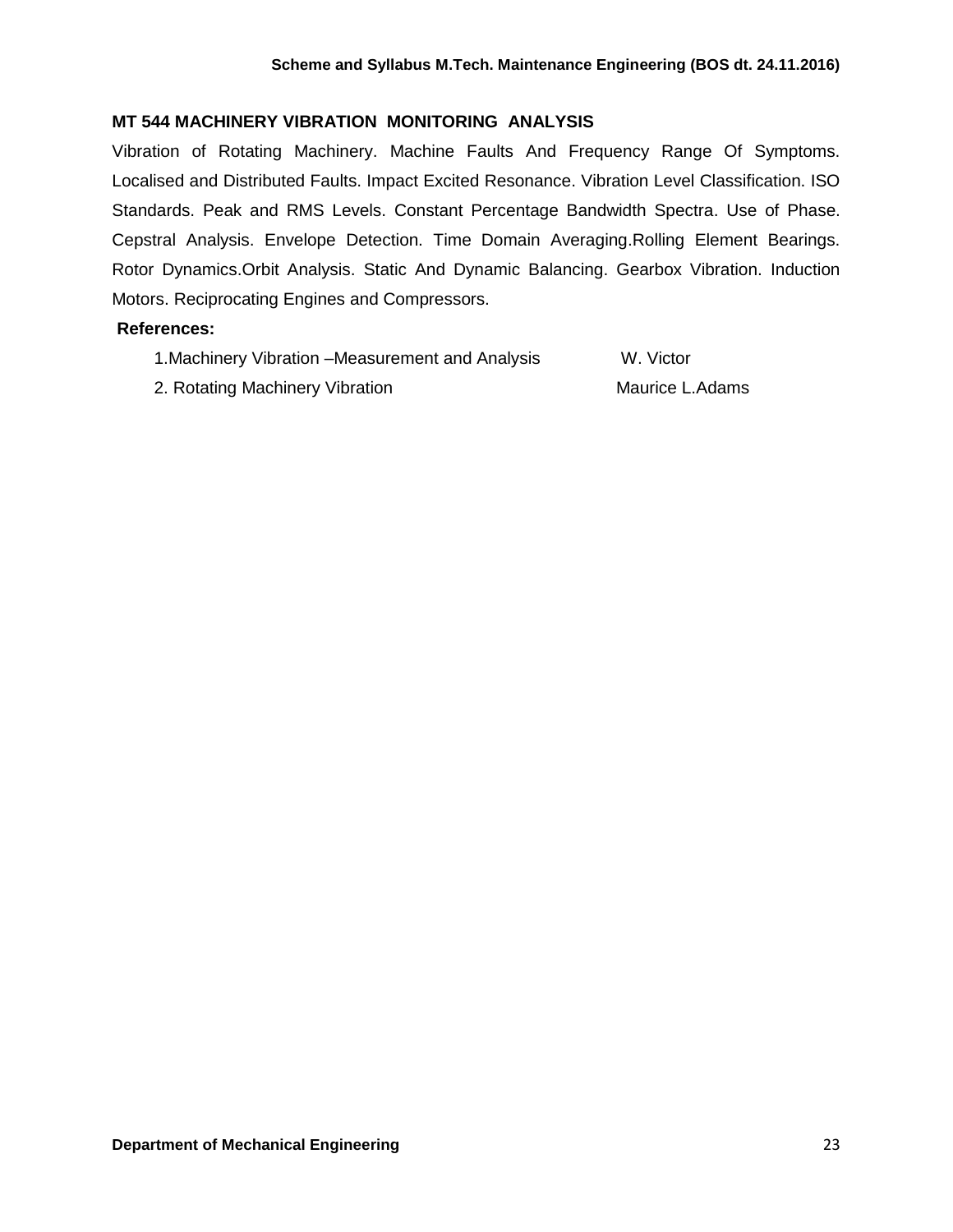## **MT 544 MACHINERY VIBRATION MONITORING ANALYSIS**

Vibration of Rotating Machinery. Machine Faults And Frequency Range Of Symptoms. Localised and Distributed Faults. Impact Excited Resonance. Vibration Level Classification. ISO Standards. Peak and RMS Levels. Constant Percentage Bandwidth Spectra. Use of Phase. Cepstral Analysis. Envelope Detection. Time Domain Averaging.Rolling Element Bearings. Rotor Dynamics.Orbit Analysis. Static And Dynamic Balancing. Gearbox Vibration. Induction Motors. Reciprocating Engines and Compressors.

#### **References:**

- 1.Machinery Vibration –Measurement and Analysis W. Victor
- 2. Rotating Machinery Vibration Machinery Vibration Maurice L.Adams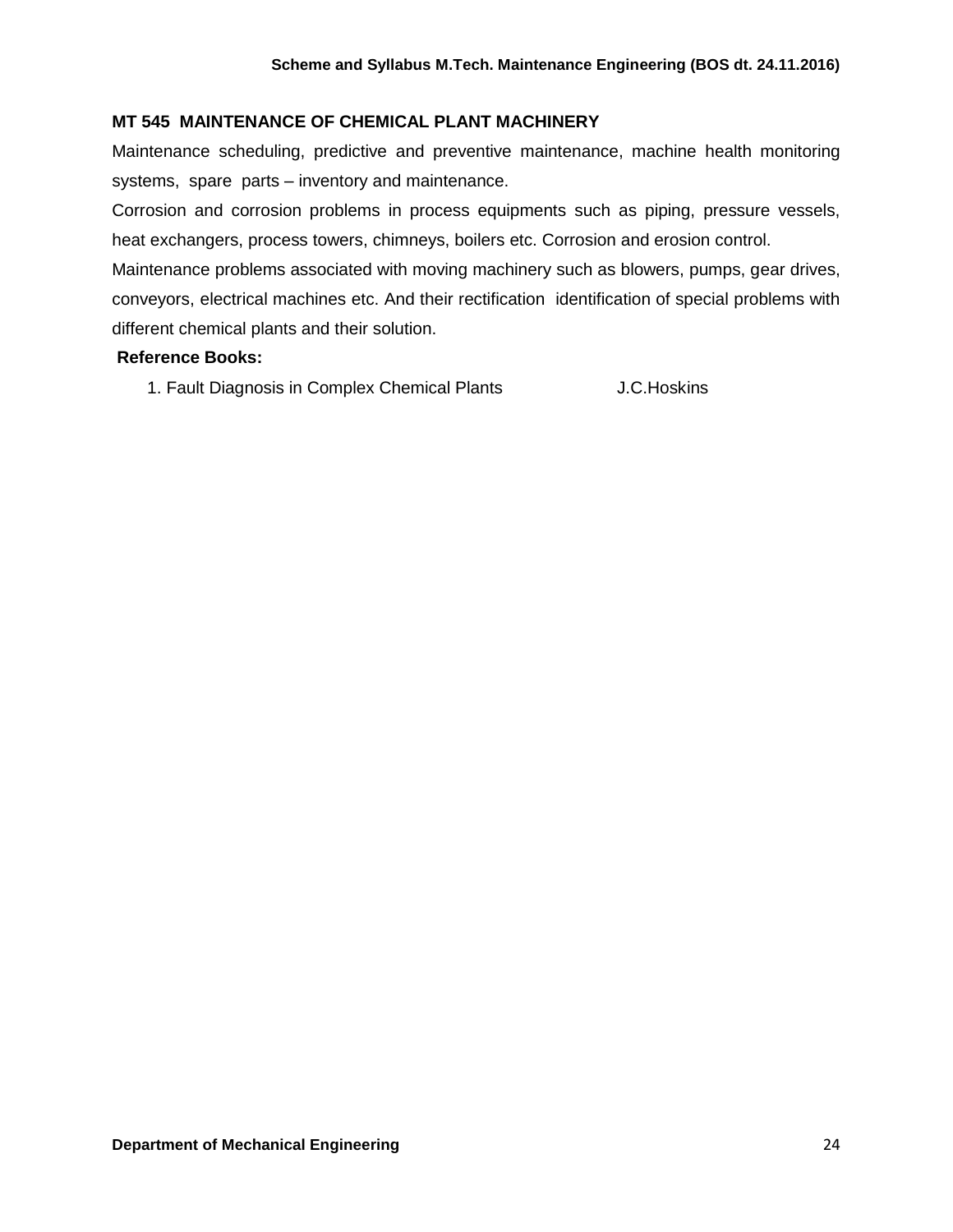## **MT 545 MAINTENANCE OF CHEMICAL PLANT MACHINERY**

Maintenance scheduling, predictive and preventive maintenance, machine health monitoring systems, spare parts – inventory and maintenance.

Corrosion and corrosion problems in process equipments such as piping, pressure vessels, heat exchangers, process towers, chimneys, boilers etc. Corrosion and erosion control. Maintenance problems associated with moving machinery such as blowers, pumps, gear drives, conveyors, electrical machines etc. And their rectification identification of special problems with different chemical plants and their solution.

#### **Reference Books:**

1. Fault Diagnosis in Complex Chemical Plants J.C.Hoskins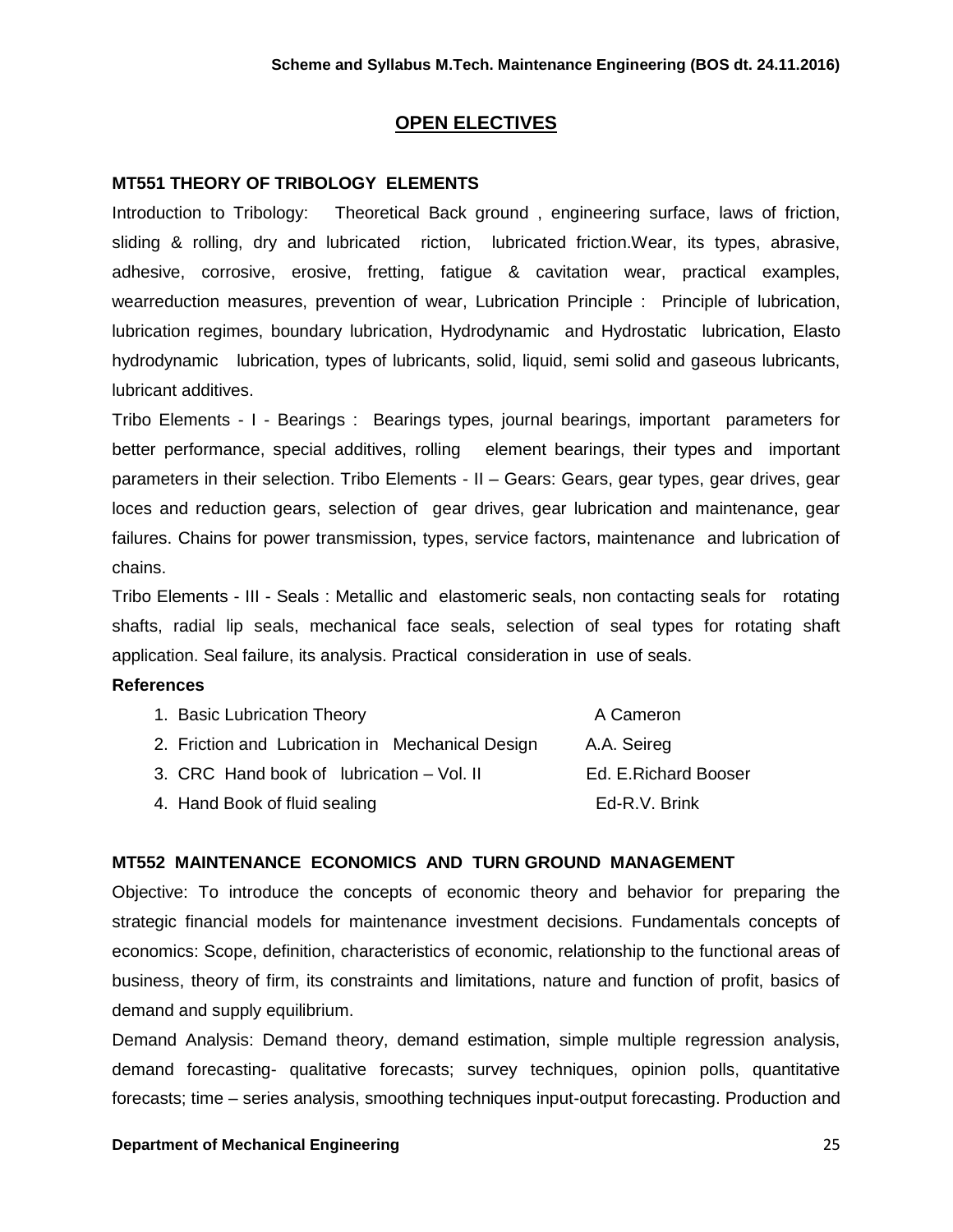## **OPEN ELECTIVES**

#### **MT551 THEORY OF TRIBOLOGY ELEMENTS**

Introduction to Tribology: Theoretical Back ground , engineering surface, laws of friction, sliding & rolling, dry and lubricated riction, lubricated friction.Wear, its types, abrasive, adhesive, corrosive, erosive, fretting, fatigue & cavitation wear, practical examples, wearreduction measures, prevention of wear, Lubrication Principle : Principle of lubrication, lubrication regimes, boundary lubrication, Hydrodynamic and Hydrostatic lubrication, Elasto hydrodynamic lubrication, types of lubricants, solid, liquid, semi solid and gaseous lubricants, lubricant additives.

Tribo Elements - I - Bearings : Bearings types, journal bearings, important parameters for better performance, special additives, rolling element bearings, their types and important parameters in their selection. Tribo Elements - II – Gears: Gears, gear types, gear drives, gear loces and reduction gears, selection of gear drives, gear lubrication and maintenance, gear failures. Chains for power transmission, types, service factors, maintenance and lubrication of chains.

Tribo Elements - III - Seals : Metallic and elastomeric seals, non contacting seals for rotating shafts, radial lip seals, mechanical face seals, selection of seal types for rotating shaft application. Seal failure, its analysis. Practical consideration in use of seals.

#### **References**

| 1. Basic Lubrication Theory                      | A Cameron             |
|--------------------------------------------------|-----------------------|
| 2. Friction and Lubrication in Mechanical Design | A.A. Seireg           |
| 3. CRC Hand book of lubrication – Vol. II        | Ed. E. Richard Booser |
| 4. Hand Book of fluid sealing                    | Ed-R.V. Brink         |

#### **MT552 MAINTENANCE ECONOMICS AND TURN GROUND MANAGEMENT**

Objective: To introduce the concepts of economic theory and behavior for preparing the strategic financial models for maintenance investment decisions. Fundamentals concepts of economics: Scope, definition, characteristics of economic, relationship to the functional areas of business, theory of firm, its constraints and limitations, nature and function of profit, basics of demand and supply equilibrium.

Demand Analysis: Demand theory, demand estimation, simple multiple regression analysis, demand forecasting- qualitative forecasts; survey techniques, opinion polls, quantitative forecasts; time – series analysis, smoothing techniques input-output forecasting. Production and

#### **Department of Mechanical Engineering** 25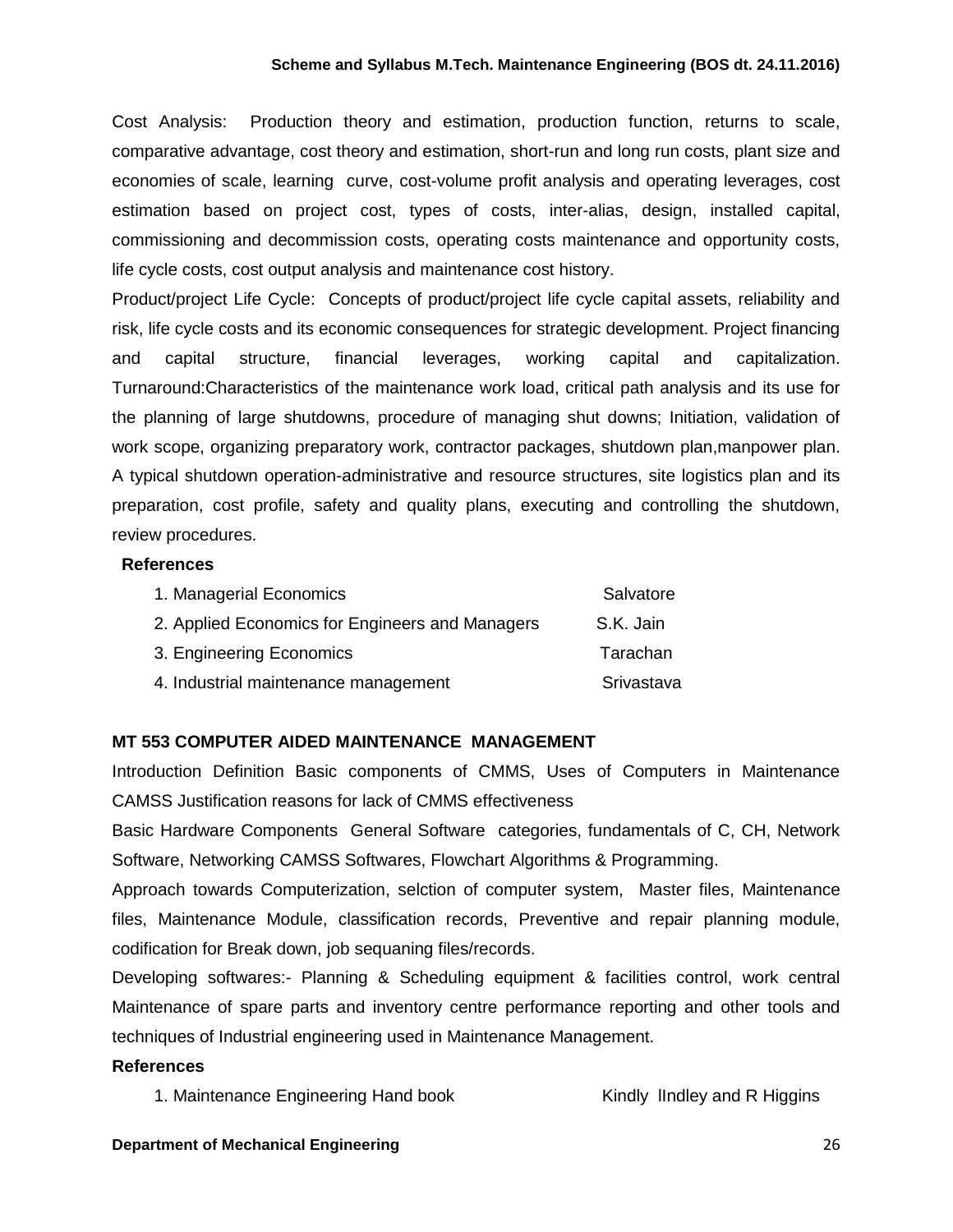Cost Analysis: Production theory and estimation, production function, returns to scale, comparative advantage, cost theory and estimation, short-run and long run costs, plant size and economies of scale, learning curve, cost-volume profit analysis and operating leverages, cost estimation based on project cost, types of costs, inter-alias, design, installed capital, commissioning and decommission costs, operating costs maintenance and opportunity costs, life cycle costs, cost output analysis and maintenance cost history.

Product/project Life Cycle: Concepts of product/project life cycle capital assets, reliability and risk, life cycle costs and its economic consequences for strategic development. Project financing and capital structure, financial leverages, working capital and capitalization. Turnaround:Characteristics of the maintenance work load, critical path analysis and its use for the planning of large shutdowns, procedure of managing shut downs; Initiation, validation of work scope, organizing preparatory work, contractor packages, shutdown plan,manpower plan. A typical shutdown operation-administrative and resource structures, site logistics plan and its preparation, cost profile, safety and quality plans, executing and controlling the shutdown, review procedures.

#### **References**

| 1. Managerial Economics                         | Salvatore  |
|-------------------------------------------------|------------|
| 2. Applied Economics for Engineers and Managers | S.K. Jain  |
| 3. Engineering Economics                        | Tarachan   |
| 4. Industrial maintenance management            | Srivastava |

## **MT 553 COMPUTER AIDED MAINTENANCE MANAGEMENT**

Introduction Definition Basic components of CMMS, Uses of Computers in Maintenance CAMSS Justification reasons for lack of CMMS effectiveness

Basic Hardware Components General Software categories, fundamentals of C, CH, Network Software, Networking CAMSS Softwares, Flowchart Algorithms & Programming.

Approach towards Computerization, selction of computer system, Master files, Maintenance files, Maintenance Module, classification records, Preventive and repair planning module, codification for Break down, job sequaning files/records.

Developing softwares:- Planning & Scheduling equipment & facilities control, work central Maintenance of spare parts and inventory centre performance reporting and other tools and techniques of Industrial engineering used in Maintenance Management.

## **References**

1. Maintenance Engineering Hand book Kindly IIndley and R Higgins